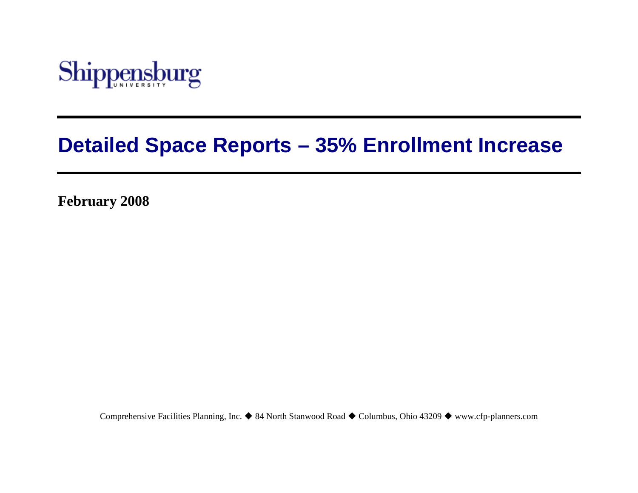

# **Detailed Space Reports – 35% Enrollment Increase**

**February 2008** 

Comprehensive Facilities Planning, Inc. ♦ 84 North Stanwood Road ♦ Columbus, Ohio 43209 ♦ www.cfp-planners.com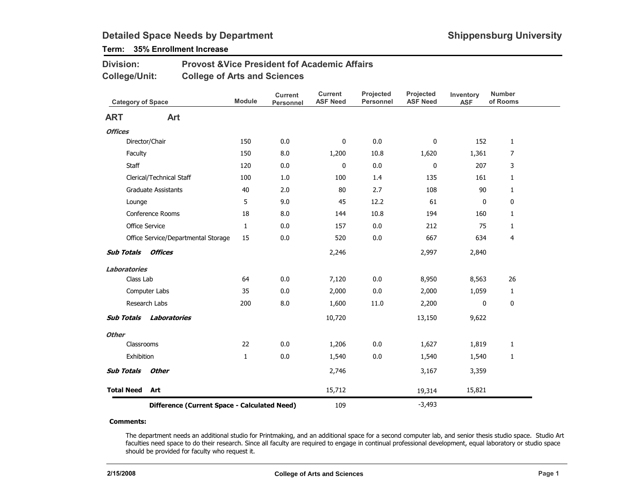## Term: 35% Enrollment Increase

| <b>Division:</b> | <b>Provost &amp; Vice President fof Academic Affairs</b> |
|------------------|----------------------------------------------------------|
| College/Unit:    | <b>College of Arts and Sciences</b>                      |

| <b>Category of Space</b> |                                              | <b>Module</b> | <b>Current</b><br><b>Personnel</b> | <b>Current</b><br><b>ASF Need</b> | Projected<br><b>Personnel</b> | Projected<br><b>ASF Need</b> | Inventory<br><b>ASF</b> | <b>Number</b><br>of Rooms |
|--------------------------|----------------------------------------------|---------------|------------------------------------|-----------------------------------|-------------------------------|------------------------------|-------------------------|---------------------------|
| <b>ART</b>               | Art                                          |               |                                    |                                   |                               |                              |                         |                           |
| <b>Offices</b>           |                                              |               |                                    |                                   |                               |                              |                         |                           |
|                          | Director/Chair                               | 150           | 0.0                                | 0                                 | 0.0                           | 0                            | 152                     | $\mathbf{1}$              |
| Faculty                  |                                              | 150           | 8.0                                | 1,200                             | 10.8                          | 1,620                        | 1,361                   | 7                         |
| Staff                    |                                              | 120           | 0.0                                | 0                                 | 0.0                           | 0                            | 207                     | 3                         |
|                          | Clerical/Technical Staff                     | 100           | $1.0\,$                            | 100                               | 1.4                           | 135                          | 161                     | $\mathbf{1}$              |
|                          | <b>Graduate Assistants</b>                   | 40            | 2.0                                | 80                                | 2.7                           | 108                          | 90                      | $\mathbf{1}$              |
| Lounge                   |                                              | 5             | 9.0                                | 45                                | 12.2                          | 61                           | 0                       | 0                         |
|                          | Conference Rooms                             | 18            | 8.0                                | 144                               | 10.8                          | 194                          | 160                     | $\mathbf{1}$              |
|                          | Office Service                               | 1             | 0.0                                | 157                               | 0.0                           | 212                          | 75                      | $\mathbf{1}$              |
|                          | Office Service/Departmental Storage          | 15            | 0.0                                | 520                               | 0.0                           | 667                          | 634                     | 4                         |
| <b>Sub Totals</b>        | <b>Offices</b>                               |               |                                    | 2,246                             |                               | 2,997                        | 2,840                   |                           |
| <b>Laboratories</b>      |                                              |               |                                    |                                   |                               |                              |                         |                           |
| Class Lab                |                                              | 64            | 0.0                                | 7,120                             | 0.0                           | 8,950                        | 8,563                   | 26                        |
|                          | Computer Labs                                | 35            | 0.0                                | 2,000                             | 0.0                           | 2,000                        | 1,059                   | $\mathbf{1}$              |
|                          | Research Labs                                | 200           | 8.0                                | 1,600                             | 11.0                          | 2,200                        | $\mathbf 0$             | 0                         |
| <b>Sub Totals</b>        | Laboratories                                 |               |                                    | 10,720                            |                               | 13,150                       | 9,622                   |                           |
| <b>Other</b>             |                                              |               |                                    |                                   |                               |                              |                         |                           |
| Classrooms               |                                              | 22            | 0.0                                | 1,206                             | 0.0                           | 1,627                        | 1,819                   | $\mathbf{1}$              |
| Exhibition               |                                              | $1\,$         | 0.0                                | 1,540                             | 0.0                           | 1,540                        | 1,540                   | $\mathbf{1}$              |
| <b>Sub Totals</b>        | <b>Other</b>                                 |               |                                    | 2,746                             |                               | 3,167                        | 3,359                   |                           |
| <b>Total Need</b>        | Art                                          |               |                                    | 15,712                            |                               | 19,314                       | 15,821                  |                           |
|                          | Difference (Current Space - Calculated Need) |               |                                    | 109                               |                               | $-3,493$                     |                         |                           |

#### Comments:

The department needs an additional studio for Printmaking, and an additional space for a second computer lab, and senior thesis studio space. Studio Art faculties need space to do their research. Since all faculty are required to engage in continual professional development, equal laboratory or studio space should be provided for faculty who request it.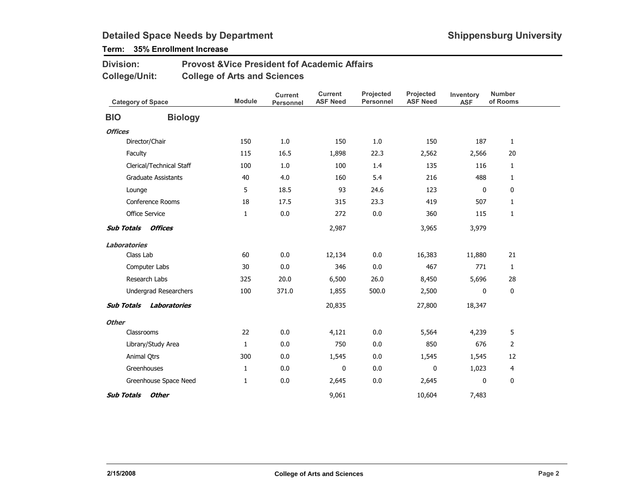## Term: 35% Enrollment Increase

#### Provost &Vice President fof Academic AffairsCollege of Arts and SciencesDivision:College/Unit:

|                   | <b>Category of Space</b>   | <b>Module</b> | <b>Current</b><br>Personnel | <b>Current</b><br><b>ASF Need</b> | Projected<br>Personnel | Projected<br><b>ASF Need</b> | Inventory<br><b>ASF</b> | <b>Number</b><br>of Rooms |  |
|-------------------|----------------------------|---------------|-----------------------------|-----------------------------------|------------------------|------------------------------|-------------------------|---------------------------|--|
| <b>BIO</b>        | <b>Biology</b>             |               |                             |                                   |                        |                              |                         |                           |  |
| <b>Offices</b>    |                            |               |                             |                                   |                        |                              |                         |                           |  |
|                   | Director/Chair             | 150           | 1.0                         | 150                               | 1.0                    | 150                          | 187                     | $\mathbf{1}$              |  |
|                   | Faculty                    | 115           | 16.5                        | 1,898                             | 22.3                   | 2,562                        | 2,566                   | 20                        |  |
|                   | Clerical/Technical Staff   | 100           | 1.0                         | 100                               | 1.4                    | 135                          | 116                     | $\mathbf{1}$              |  |
|                   | <b>Graduate Assistants</b> | 40            | 4.0                         | 160                               | 5.4                    | 216                          | 488                     | $\mathbf{1}$              |  |
|                   | Lounge                     | 5             | 18.5                        | 93                                | 24.6                   | 123                          | 0                       | 0                         |  |
|                   | Conference Rooms           | 18            | 17.5                        | 315                               | 23.3                   | 419                          | 507                     | $\mathbf{1}$              |  |
|                   | Office Service             | 1             | 0.0                         | 272                               | 0.0                    | 360                          | 115                     | $\mathbf{1}$              |  |
| <b>Sub Totals</b> | Offices                    |               |                             | 2,987                             |                        | 3,965                        | 3,979                   |                           |  |
|                   | <b>Laboratories</b>        |               |                             |                                   |                        |                              |                         |                           |  |
|                   | Class Lab                  | 60            | 0.0                         | 12,134                            | 0.0                    | 16,383                       | 11,880                  | 21                        |  |
|                   | Computer Labs              | 30            | 0.0                         | 346                               | 0.0                    | 467                          | 771                     | $\mathbf{1}$              |  |
|                   | Research Labs              | 325           | 20.0                        | 6,500                             | 26.0                   | 8,450                        | 5,696                   | 28                        |  |
|                   | Undergrad Researchers      | 100           | 371.0                       | 1,855                             | 500.0                  | 2,500                        | 0                       | 0                         |  |
| <b>Sub Totals</b> | Laboratories               |               |                             | 20,835                            |                        | 27,800                       | 18,347                  |                           |  |
| <b>Other</b>      |                            |               |                             |                                   |                        |                              |                         |                           |  |
|                   | Classrooms                 | 22            | 0.0                         | 4,121                             | 0.0                    | 5,564                        | 4,239                   | 5                         |  |
|                   | Library/Study Area         | $\mathbf{1}$  | 0.0                         | 750                               | 0.0                    | 850                          | 676                     | $\overline{2}$            |  |
|                   | Animal Qtrs                | 300           | 0.0                         | 1,545                             | 0.0                    | 1,545                        | 1,545                   | 12                        |  |
|                   | Greenhouses                | $\mathbf{1}$  | 0.0                         | $\mathbf{0}$                      | 0.0                    | 0                            | 1,023                   | 4                         |  |
|                   | Greenhouse Space Need      | 1             | 0.0                         | 2,645                             | 0.0                    | 2,645                        | 0                       | 0                         |  |
| <b>Sub Totals</b> | <b>Other</b>               |               |                             | 9,061                             |                        | 10,604                       | 7,483                   |                           |  |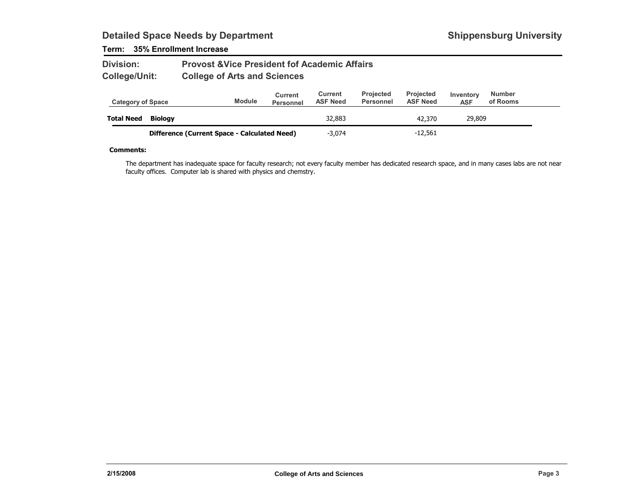### Term: 35% Enrollment Increase

| <b>Division:</b> | <b>Provost &amp; Vice President fof Academic Affairs</b> |
|------------------|----------------------------------------------------------|
| College/Unit:    | <b>College of Arts and Sciences</b>                      |

| <b>Category of Space</b> |                                              | <b>Module</b> | Current<br><b>Personnel</b> | Current<br><b>ASF Need</b> | <b>Projected</b><br><b>Personnel</b> | <b>Projected</b><br><b>ASF Need</b> | Inventory<br><b>ASF</b> | <b>Number</b><br>of Rooms |  |
|--------------------------|----------------------------------------------|---------------|-----------------------------|----------------------------|--------------------------------------|-------------------------------------|-------------------------|---------------------------|--|
| <b>Total Need</b>        | Biology                                      |               |                             | 32,883                     |                                      | 42,370                              | 29,809                  |                           |  |
|                          | Difference (Current Space - Calculated Need) |               |                             | $-3.074$                   |                                      | $-12,561$                           |                         |                           |  |

#### Comments:

The department has inadequate space for faculty research; not every faculty member has dedicated research space, and in many cases labs are not near faculty offices. Computer lab is shared with physics and chemstry.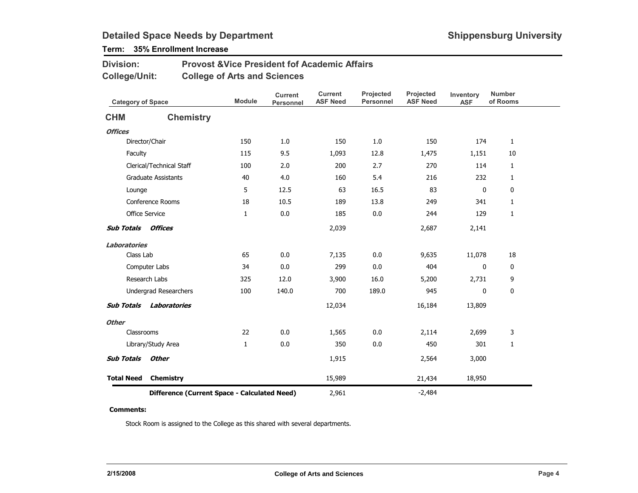## Term: 35% Enrollment Increase

| <b>Division:</b> | <b>Provost &amp; Vice President fof Academic Affairs</b> |
|------------------|----------------------------------------------------------|
| College/Unit:    | <b>College of Arts and Sciences</b>                      |

| <b>Category of Space</b> |                                              | <b>Module</b> | <b>Current</b><br>Personnel | <b>Current</b><br><b>ASF Need</b> | Projected<br><b>Personnel</b> | Projected<br><b>ASF Need</b> | Inventory<br><b>ASF</b> | <b>Number</b><br>of Rooms |
|--------------------------|----------------------------------------------|---------------|-----------------------------|-----------------------------------|-------------------------------|------------------------------|-------------------------|---------------------------|
| <b>CHM</b>               | <b>Chemistry</b>                             |               |                             |                                   |                               |                              |                         |                           |
| <b>Offices</b>           |                                              |               |                             |                                   |                               |                              |                         |                           |
|                          | Director/Chair                               | 150           | 1.0                         | 150                               | 1.0                           | 150                          | 174                     | $\mathbf{1}$              |
| Faculty                  |                                              | 115           | 9.5                         | 1,093                             | 12.8                          | 1,475                        | 1,151                   | 10                        |
|                          | Clerical/Technical Staff                     | 100           | 2.0                         | 200                               | 2.7                           | 270                          | 114                     | $\mathbf{1}$              |
|                          | <b>Graduate Assistants</b>                   | 40            | 4.0                         | 160                               | 5.4                           | 216                          | 232                     | $\mathbf{1}$              |
| Lounge                   |                                              | 5             | 12.5                        | 63                                | 16.5                          | 83                           | 0                       | 0                         |
|                          | <b>Conference Rooms</b>                      | 18            | 10.5                        | 189                               | 13.8                          | 249                          | 341                     | $\mathbf{1}$              |
|                          | <b>Office Service</b>                        | 1             | 0.0                         | 185                               | 0.0                           | 244                          | 129                     | $\mathbf{1}$              |
| <b>Sub Totals</b>        | Offices                                      |               |                             | 2,039                             |                               | 2,687                        | 2,141                   |                           |
| <b>Laboratories</b>      |                                              |               |                             |                                   |                               |                              |                         |                           |
| Class Lab                |                                              | 65            | 0.0                         | 7,135                             | 0.0                           | 9,635                        | 11,078                  | 18                        |
|                          | Computer Labs                                | 34            | 0.0                         | 299                               | 0.0                           | 404                          | 0                       | 0                         |
|                          | Research Labs                                | 325           | 12.0                        | 3,900                             | 16.0                          | 5,200                        | 2,731                   | 9                         |
|                          | Undergrad Researchers                        | 100           | 140.0                       | 700                               | 189.0                         | 945                          | 0                       | 0                         |
| <b>Sub Totals</b>        | Laboratories                                 |               |                             | 12,034                            |                               | 16,184                       | 13,809                  |                           |
| <b>Other</b>             |                                              |               |                             |                                   |                               |                              |                         |                           |
| Classrooms               |                                              | 22            | 0.0                         | 1,565                             | 0.0                           | 2,114                        | 2,699                   | 3                         |
|                          | Library/Study Area                           | $\mathbf{1}$  | 0.0                         | 350                               | 0.0                           | 450                          | 301                     | $\mathbf{1}$              |
| <b>Sub Totals</b>        | <b>Other</b>                                 |               |                             | 1,915                             |                               | 2,564                        | 3,000                   |                           |
| <b>Total Need</b>        | Chemistry                                    |               |                             | 15,989                            |                               | 21,434                       | 18,950                  |                           |
|                          | Difference (Current Space - Calculated Need) |               |                             | 2,961                             |                               | $-2,484$                     |                         |                           |

#### Comments:

Stock Room is assigned to the College as this shared with several departments.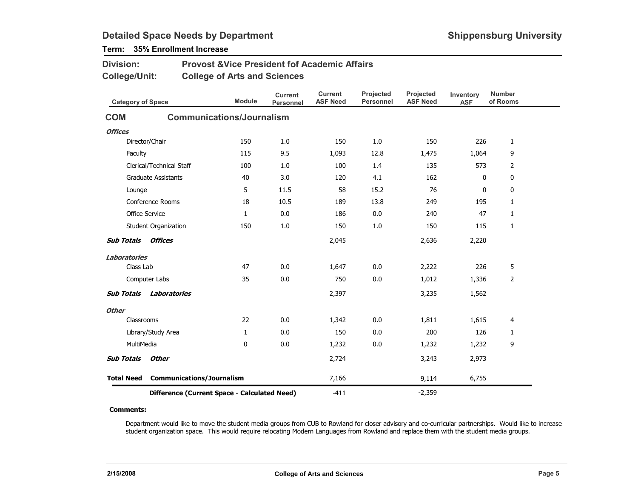Division:

## Term: 35% Enrollment Increase

| <b>College/Unit:</b>     |                                              | <b>College of Arts and Sciences</b> |                                    |                                   |                               |                              |                         |                           |
|--------------------------|----------------------------------------------|-------------------------------------|------------------------------------|-----------------------------------|-------------------------------|------------------------------|-------------------------|---------------------------|
| <b>Category of Space</b> |                                              | <b>Module</b>                       | <b>Current</b><br><b>Personnel</b> | <b>Current</b><br><b>ASF Need</b> | Projected<br><b>Personnel</b> | Projected<br><b>ASF Need</b> | Inventory<br><b>ASF</b> | <b>Number</b><br>of Rooms |
| <b>COM</b>               |                                              | <b>Communications/Journalism</b>    |                                    |                                   |                               |                              |                         |                           |
| <b>Offices</b>           |                                              |                                     |                                    |                                   |                               |                              |                         |                           |
|                          | Director/Chair                               | 150                                 | 1.0                                | 150                               | 1.0                           | 150                          | 226                     | 1                         |
| Faculty                  |                                              | 115                                 | 9.5                                | 1,093                             | 12.8                          | 1,475                        | 1,064                   | 9                         |
|                          | Clerical/Technical Staff                     | 100                                 | 1.0                                | 100                               | 1.4                           | 135                          | 573                     | $\overline{2}$            |
|                          | <b>Graduate Assistants</b>                   | 40                                  | 3.0                                | 120                               | 4.1                           | 162                          | 0                       | 0                         |
| Lounge                   |                                              | 5                                   | 11.5                               | 58                                | 15.2                          | 76                           | $\mathbf{0}$            | 0                         |
|                          | Conference Rooms                             | 18                                  | 10.5                               | 189                               | 13.8                          | 249                          | 195                     | $\mathbf{1}$              |
|                          | <b>Office Service</b>                        | $\mathbf{1}$                        | 0.0                                | 186                               | 0.0                           | 240                          | 47                      | $\mathbf{1}$              |
|                          | Student Organization                         | 150                                 | 1.0                                | 150                               | 1.0                           | 150                          | 115                     | $\mathbf{1}$              |
| <b>Sub Totals</b>        | <b>Offices</b>                               |                                     |                                    | 2,045                             |                               | 2,636                        | 2,220                   |                           |
| <b>Laboratories</b>      |                                              |                                     |                                    |                                   |                               |                              |                         |                           |
| Class Lab                |                                              | 47                                  | 0.0                                | 1,647                             | 0.0                           | 2,222                        | 226                     | 5                         |
|                          | Computer Labs                                | 35                                  | 0.0                                | 750                               | 0.0                           | 1,012                        | 1,336                   | 2                         |
| <b>Sub Totals</b>        | Laboratories                                 |                                     |                                    | 2,397                             |                               | 3,235                        | 1,562                   |                           |
| <b>Other</b>             |                                              |                                     |                                    |                                   |                               |                              |                         |                           |
| Classrooms               |                                              | 22                                  | 0.0                                | 1,342                             | 0.0                           | 1,811                        | 1,615                   | 4                         |
|                          | Library/Study Area                           | $\mathbf{1}$                        | 0.0                                | 150                               | 0.0                           | 200                          | 126                     | 1                         |
| MultiMedia               |                                              | 0                                   | 0.0                                | 1,232                             | 0.0                           | 1,232                        | 1,232                   | 9                         |
| <b>Sub Totals</b>        | <b>Other</b>                                 |                                     |                                    | 2,724                             |                               | 3,243                        | 2,973                   |                           |
| <b>Total Need</b>        | <b>Communications/Journalism</b>             |                                     |                                    | 7,166                             |                               | 9,114                        | 6,755                   |                           |
|                          | Difference (Current Space - Calculated Need) |                                     |                                    | $-411$                            |                               | $-2,359$                     |                         |                           |

Provost &Vice President fof Academic Affairs

#### Comments:

Department would like to move the student media groups from CUB to Rowland for closer advisory and co-curricular partnerships. Would like to increase student organization space. This would require relocating Modern Languages from Rowland and replace them with the student media groups.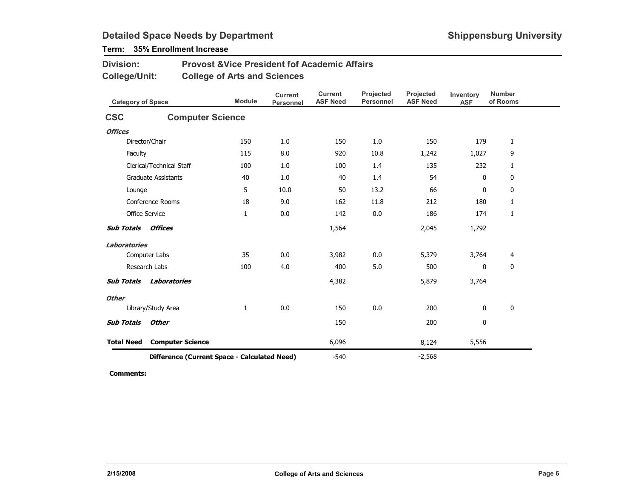## Term: 35% Enrollment Increase

| <b>Division:</b> | <b>Provost &amp; Vice President fof Academic Affairs</b> |
|------------------|----------------------------------------------------------|
| College/Unit:    | <b>College of Arts and Sciences</b>                      |

| <b>Category of Space</b> |                                              | <b>Module</b> | <b>Current</b><br><b>Personnel</b> | <b>Current</b><br><b>ASF Need</b> | Projected<br><b>Personnel</b> | Projected<br><b>ASF Need</b> | Inventory<br><b>ASF</b> | <b>Number</b><br>of Rooms |
|--------------------------|----------------------------------------------|---------------|------------------------------------|-----------------------------------|-------------------------------|------------------------------|-------------------------|---------------------------|
| <b>CSC</b>               | <b>Computer Science</b>                      |               |                                    |                                   |                               |                              |                         |                           |
| <b>Offices</b>           |                                              |               |                                    |                                   |                               |                              |                         |                           |
|                          | Director/Chair                               | 150           | 1.0                                | 150                               | 1.0                           | 150                          | 179                     | $\mathbf{1}$              |
| Faculty                  |                                              | 115           | 8.0                                | 920                               | 10.8                          | 1,242                        | 1,027                   | 9                         |
|                          | Clerical/Technical Staff                     | 100           | 1.0                                | 100                               | 1.4                           | 135                          | 232                     | $\mathbf{1}$              |
|                          | <b>Graduate Assistants</b>                   | 40            | 1.0                                | 40                                | 1.4                           | 54                           | 0                       | 0                         |
| Lounge                   |                                              | 5             | 10.0                               | 50                                | 13.2                          | 66                           | 0                       | 0                         |
|                          | <b>Conference Rooms</b>                      | 18            | 9.0                                | 162                               | 11.8                          | 212                          | 180                     | $\mathbf{1}$              |
|                          | <b>Office Service</b>                        | $\mathbf{1}$  | 0.0                                | 142                               | 0.0                           | 186                          | 174                     | 1                         |
| <b>Sub Totals</b>        | <b>Offices</b>                               |               |                                    | 1,564                             |                               | 2,045                        | 1,792                   |                           |
| Laboratories             |                                              |               |                                    |                                   |                               |                              |                         |                           |
|                          | Computer Labs                                | 35            | 0.0                                | 3,982                             | 0.0                           | 5,379                        | 3,764                   | 4                         |
|                          | Research Labs                                | 100           | 4.0                                | 400                               | 5.0                           | 500                          | 0                       | $\mathbf 0$               |
| <b>Sub Totals</b>        | Laboratories                                 |               |                                    | 4,382                             |                               | 5,879                        | 3,764                   |                           |
| <b>Other</b>             |                                              |               |                                    |                                   |                               |                              |                         |                           |
|                          | Library/Study Area                           | $\mathbf{1}$  | 0.0                                | 150                               | 0.0                           | 200                          | 0                       | $\mathbf 0$               |
| <b>Sub Totals</b>        | <b>Other</b>                                 |               |                                    | 150                               |                               | 200                          | 0                       |                           |
| <b>Total Need</b>        | <b>Computer Science</b>                      |               |                                    | 6,096                             |                               | 8,124                        | 5,556                   |                           |
|                          | Difference (Current Space - Calculated Need) |               |                                    | $-540$                            |                               | $-2,568$                     |                         |                           |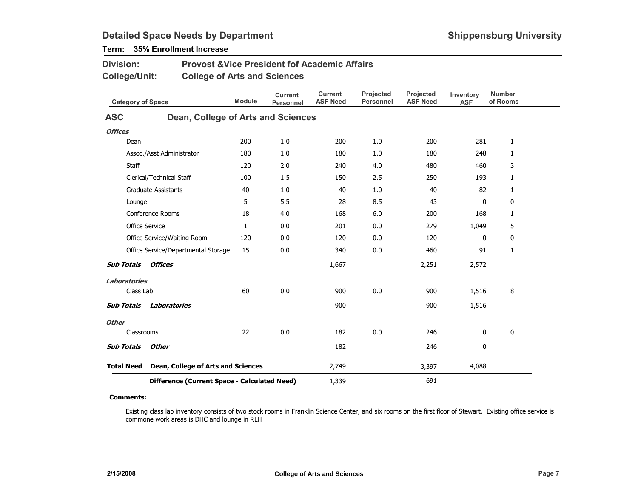| Division:<br>College/Unit: |              |                                              | <b>Provost &amp;Vice President fof Academic Affairs</b><br><b>College of Arts and Sciences</b> |                                    |                                   |                               |                              |                         |                           |  |  |
|----------------------------|--------------|----------------------------------------------|------------------------------------------------------------------------------------------------|------------------------------------|-----------------------------------|-------------------------------|------------------------------|-------------------------|---------------------------|--|--|
|                            |              | <b>Category of Space</b>                     | <b>Module</b>                                                                                  | <b>Current</b><br><b>Personnel</b> | <b>Current</b><br><b>ASF Need</b> | Projected<br><b>Personnel</b> | Projected<br><b>ASF Need</b> | Inventory<br><b>ASF</b> | <b>Number</b><br>of Rooms |  |  |
| <b>ASC</b>                 |              | Dean, College of Arts and Sciences           |                                                                                                |                                    |                                   |                               |                              |                         |                           |  |  |
| <b>Offices</b>             |              |                                              |                                                                                                |                                    |                                   |                               |                              |                         |                           |  |  |
|                            | Dean         |                                              | 200                                                                                            | 1.0                                | 200                               | 1.0                           | 200                          | 281                     | 1                         |  |  |
|                            |              | Assoc./Asst Administrator                    | 180                                                                                            | 1.0                                | 180                               | 1.0                           | 180                          | 248                     | $\mathbf{1}$              |  |  |
|                            | <b>Staff</b> |                                              | 120                                                                                            | 2.0                                | 240                               | 4.0                           | 480                          | 460                     | 3                         |  |  |
|                            |              | Clerical/Technical Staff                     | 100                                                                                            | 1.5                                | 150                               | 2.5                           | 250                          | 193                     | $\mathbf{1}$              |  |  |
|                            |              | <b>Graduate Assistants</b>                   | 40                                                                                             | 1.0                                | 40                                | 1.0                           | 40                           | 82                      | $\mathbf{1}$              |  |  |
|                            | Lounge       |                                              | 5                                                                                              | 5.5                                | 28                                | 8.5                           | 43                           | 0                       | 0                         |  |  |
|                            |              | Conference Rooms                             | 18                                                                                             | 4.0                                | 168                               | 6.0                           | 200                          | 168                     | $\mathbf{1}$              |  |  |
|                            |              | <b>Office Service</b>                        | $\mathbf{1}$                                                                                   | 0.0                                | 201                               | 0.0                           | 279                          | 1,049                   | 5                         |  |  |
|                            |              | Office Service/Waiting Room                  | 120                                                                                            | 0.0                                | 120                               | 0.0                           | 120                          | 0                       | 0                         |  |  |
|                            |              | Office Service/Departmental Storage          | 15                                                                                             | 0.0                                | 340                               | 0.0                           | 460                          | 91                      | $\mathbf{1}$              |  |  |
| <b>Sub Totals</b>          |              | Offices                                      |                                                                                                |                                    | 1,667                             |                               | 2,251                        | 2,572                   |                           |  |  |
| Laboratories               |              |                                              |                                                                                                |                                    |                                   |                               |                              |                         |                           |  |  |
|                            | Class Lab    |                                              | 60                                                                                             | 0.0                                | 900                               | 0.0                           | 900                          | 1,516                   | 8                         |  |  |
| <b>Sub Totals</b>          |              | <b>Laboratories</b>                          |                                                                                                |                                    | 900                               |                               | 900                          | 1,516                   |                           |  |  |
| <b>Other</b>               |              |                                              |                                                                                                |                                    |                                   |                               |                              |                         |                           |  |  |
|                            | Classrooms   |                                              | 22                                                                                             | 0.0                                | 182                               | 0.0                           | 246                          | 0                       | 0                         |  |  |
| <b>Sub Totals</b>          |              | <b>Other</b>                                 |                                                                                                |                                    | 182                               |                               | 246                          | 0                       |                           |  |  |
| <b>Total Need</b>          |              | Dean, College of Arts and Sciences           |                                                                                                |                                    | 2,749                             |                               | 3,397                        | 4,088                   |                           |  |  |
|                            |              | Difference (Current Space - Calculated Need) |                                                                                                |                                    | 1,339                             |                               | 691                          |                         |                           |  |  |

## Term: 35% Enrollment Increase

#### Comments:

Existing class lab inventory consists of two stock rooms in Franklin Science Center, and six rooms on the first floor of Stewart. Existing office service is commone work areas is DHC and lounge in RLH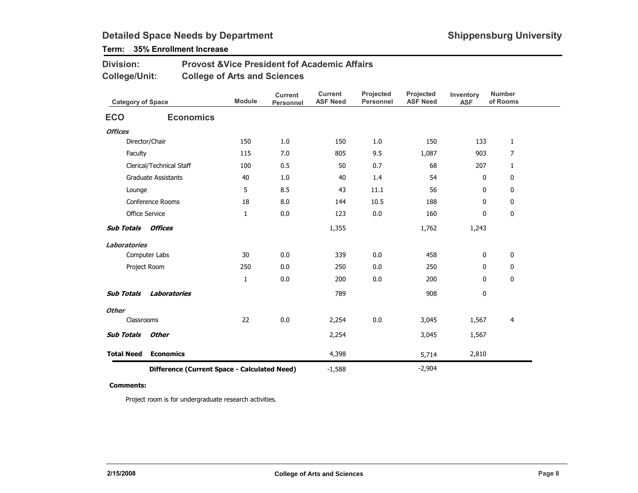## Term: 35% Enrollment Increase

| <b>Division:</b> | <b>Provost &amp; Vice President fof Academic Affairs</b> |
|------------------|----------------------------------------------------------|
| College/Unit:    | <b>College of Arts and Sciences</b>                      |

| <b>Category of Space</b>                     |                            | <b>Module</b> | <b>Current</b><br><b>Personnel</b> | <b>Current</b><br><b>ASF Need</b> | Projected<br><b>Personnel</b> | Projected<br><b>ASF Need</b> | Inventory<br><b>ASF</b> | <b>Number</b><br>of Rooms |
|----------------------------------------------|----------------------------|---------------|------------------------------------|-----------------------------------|-------------------------------|------------------------------|-------------------------|---------------------------|
| <b>ECO</b>                                   | <b>Economics</b>           |               |                                    |                                   |                               |                              |                         |                           |
| <b>Offices</b>                               |                            |               |                                    |                                   |                               |                              |                         |                           |
|                                              | Director/Chair             | 150           | 1.0                                | 150                               | 1.0                           | 150                          | 133                     | $\mathbf{1}$              |
| Faculty                                      |                            | 115           | 7.0                                | 805                               | 9.5                           | 1,087                        | 903                     | $\overline{7}$            |
|                                              | Clerical/Technical Staff   | 100           | 0.5                                | 50                                | 0.7                           | 68                           | 207                     | 1                         |
|                                              | <b>Graduate Assistants</b> | 40            | 1.0                                | 40                                | 1.4                           | 54                           | $\mathbf 0$             | 0                         |
| Lounge                                       |                            | 5             | 8.5                                | 43                                | 11.1                          | 56                           | 0                       | 0                         |
|                                              | Conference Rooms           | 18            | 8.0                                | 144                               | 10.5                          | 188                          | 0                       | 0                         |
|                                              | Office Service             | 1             | 0.0                                | 123                               | 0.0                           | 160                          | 0                       | 0                         |
| <b>Sub Totals</b>                            | Offices                    |               |                                    | 1,355                             |                               | 1,762                        | 1,243                   |                           |
| <b>Laboratories</b>                          |                            |               |                                    |                                   |                               |                              |                         |                           |
|                                              | Computer Labs              | 30            | 0.0                                | 339                               | 0.0                           | 458                          | 0                       | 0                         |
|                                              | Project Room               | 250           | 0.0                                | 250                               | 0.0                           | 250                          | 0                       | 0                         |
|                                              |                            | $\mathbf{1}$  | 0.0                                | 200                               | 0.0                           | 200                          | $\mathbf 0$             | $\mathbf 0$               |
| <b>Sub Totals</b>                            | <b>Laboratories</b>        |               |                                    | 789                               |                               | 908                          | 0                       |                           |
| <b>Other</b>                                 |                            |               |                                    |                                   |                               |                              |                         |                           |
| Classrooms                                   |                            | 22            | 0.0                                | 2,254                             | 0.0                           | 3,045                        | 1,567                   | 4                         |
| <b>Sub Totals</b>                            | <b>Other</b>               |               |                                    | 2,254                             |                               | 3,045                        | 1,567                   |                           |
| <b>Total Need</b>                            | <b>Economics</b>           |               |                                    | 4,398                             |                               | 5,714                        | 2,810                   |                           |
| Difference (Current Space - Calculated Need) |                            |               |                                    | $-1,588$                          |                               | $-2,904$                     |                         |                           |

#### Comments:

Project room is for undergraduate research activities.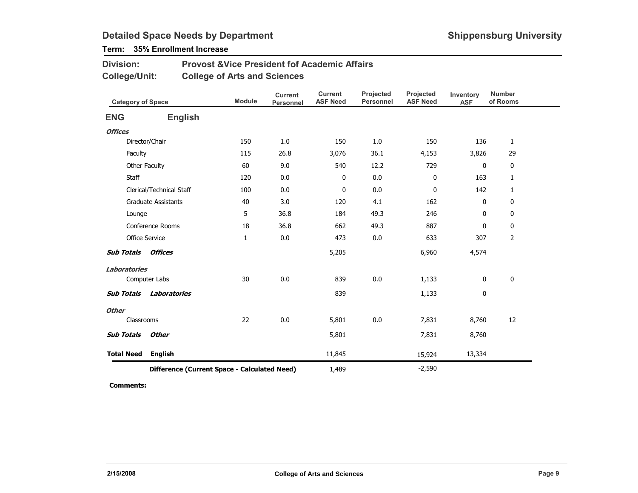## Term: 35% Enrollment Increase

| <b>Division:</b> | <b>Provost &amp; Vice President fof Academic Affairs</b> |
|------------------|----------------------------------------------------------|
| College/Unit:    | <b>College of Arts and Sciences</b>                      |

| <b>Category of Space</b> |                                              | <b>Module</b> | <b>Current</b><br>Personnel | <b>Current</b><br><b>ASF Need</b> | Projected<br><b>Personnel</b> | Projected<br><b>ASF Need</b> | Inventory<br><b>ASF</b> | <b>Number</b><br>of Rooms |
|--------------------------|----------------------------------------------|---------------|-----------------------------|-----------------------------------|-------------------------------|------------------------------|-------------------------|---------------------------|
| <b>ENG</b>               | <b>English</b>                               |               |                             |                                   |                               |                              |                         |                           |
| <b>Offices</b>           |                                              |               |                             |                                   |                               |                              |                         |                           |
|                          | Director/Chair                               | 150           | 1.0                         | 150                               | 1.0                           | 150                          | 136                     | $\mathbf{1}$              |
| Faculty                  |                                              | 115           | 26.8                        | 3,076                             | 36.1                          | 4,153                        | 3,826                   | 29                        |
|                          | Other Faculty                                | 60            | 9.0                         | 540                               | 12.2                          | 729                          | $\mathbf 0$             | 0                         |
| Staff                    |                                              | 120           | 0.0                         | 0                                 | 0.0                           | 0                            | 163                     | 1                         |
|                          | Clerical/Technical Staff                     | 100           | 0.0                         | 0                                 | 0.0                           | $\pmb{0}$                    | 142                     | 1                         |
|                          | <b>Graduate Assistants</b>                   | 40            | 3.0                         | 120                               | 4.1                           | 162                          | $\mathbf 0$             | 0                         |
| Lounge                   |                                              | 5             | 36.8                        | 184                               | 49.3                          | 246                          | 0                       | 0                         |
|                          | Conference Rooms                             | 18            | 36.8                        | 662                               | 49.3                          | 887                          | 0                       | 0                         |
|                          | <b>Office Service</b>                        | $\mathbf{1}$  | 0.0                         | 473                               | 0.0                           | 633                          | 307                     | 2                         |
| <b>Sub Totals</b>        | Offices                                      |               |                             | 5,205                             |                               | 6,960                        | 4,574                   |                           |
| Laboratories             |                                              |               |                             |                                   |                               |                              |                         |                           |
|                          | Computer Labs                                | 30            | 0.0                         | 839                               | 0.0                           | 1,133                        | 0                       | $\pmb{0}$                 |
| <b>Sub Totals</b>        | Laboratories                                 |               |                             | 839                               |                               | 1,133                        | 0                       |                           |
| <b>Other</b>             |                                              |               |                             |                                   |                               |                              |                         |                           |
| Classrooms               |                                              | 22            | 0.0                         | 5,801                             | 0.0                           | 7,831                        | 8,760                   | 12                        |
| <b>Sub Totals</b>        | <b>Other</b>                                 |               |                             | 5,801                             |                               | 7,831                        | 8,760                   |                           |
| <b>Total Need</b>        | <b>English</b>                               |               |                             | 11,845                            |                               | 15,924                       | 13,334                  |                           |
|                          | Difference (Current Space - Calculated Need) |               |                             | 1,489                             |                               | $-2,590$                     |                         |                           |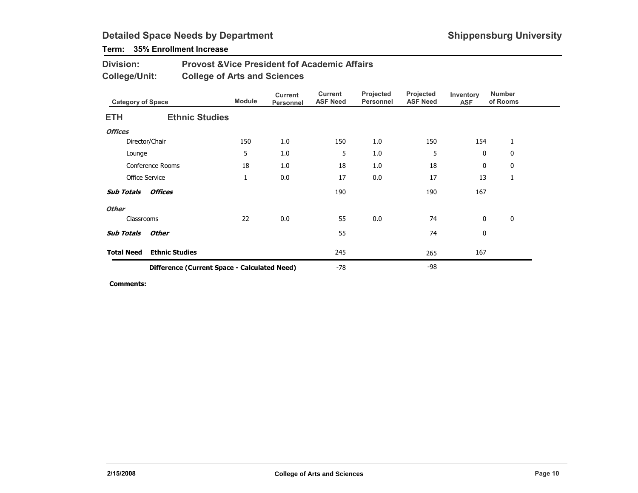## Term: 35% Enrollment Increase

#### Provost &Vice President fof Academic AffairsCollege of Arts and SciencesDivision:College/Unit:

| <b>Category of Space</b> |                                              | <b>Module</b> | <b>Current</b><br>Personnel | <b>Current</b><br><b>ASF Need</b> | Projected<br><b>Personnel</b> | Projected<br><b>ASF Need</b> | Inventory<br><b>ASF</b> | <b>Number</b><br>of Rooms |  |
|--------------------------|----------------------------------------------|---------------|-----------------------------|-----------------------------------|-------------------------------|------------------------------|-------------------------|---------------------------|--|
| <b>ETH</b>               | <b>Ethnic Studies</b>                        |               |                             |                                   |                               |                              |                         |                           |  |
| <b>Offices</b>           |                                              |               |                             |                                   |                               |                              |                         |                           |  |
|                          | Director/Chair                               | 150           | 1.0                         | 150                               | 1.0                           | 150                          | 154                     | 1                         |  |
| Lounge                   |                                              | 5             | 1.0                         | 5                                 | 1.0                           | 5                            | $\mathbf 0$             | 0                         |  |
|                          | <b>Conference Rooms</b>                      | 18            | 1.0                         | 18                                | 1.0                           | 18                           | 0                       | 0                         |  |
|                          | <b>Office Service</b>                        | $\mathbf{1}$  | 0.0                         | 17                                | 0.0                           | 17                           | 13                      | 1                         |  |
| <b>Sub Totals</b>        | <i><b>Offices</b></i>                        |               |                             | 190                               |                               | 190                          | 167                     |                           |  |
| <b>Other</b>             |                                              |               |                             |                                   |                               |                              |                         |                           |  |
| Classrooms               |                                              | 22            | 0.0                         | 55                                | 0.0                           | 74                           | $\mathbf{0}$            | 0                         |  |
| <b>Sub Totals</b>        | Other                                        |               |                             | 55                                |                               | 74                           | 0                       |                           |  |
| <b>Total Need</b>        | <b>Ethnic Studies</b>                        |               |                             | 245                               |                               | 265                          | 167                     |                           |  |
|                          | Difference (Current Space - Calculated Need) |               |                             | $-78$                             |                               | -98                          |                         |                           |  |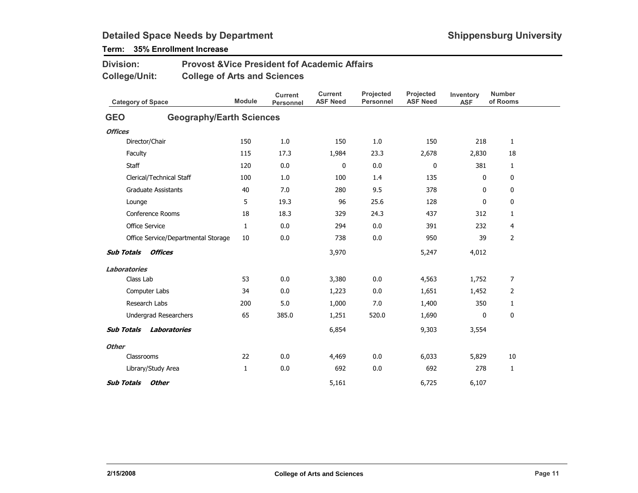## Term: 35% Enrollment Increase

| <b>Division:</b>                  | <b>Provost &amp; Vice President fof Academic Affairs</b> |               |                                    |                            |                        |                              |                         |                           |
|-----------------------------------|----------------------------------------------------------|---------------|------------------------------------|----------------------------|------------------------|------------------------------|-------------------------|---------------------------|
| <b>College/Unit:</b>              | <b>College of Arts and Sciences</b>                      |               |                                    |                            |                        |                              |                         |                           |
| <b>Category of Space</b>          |                                                          | <b>Module</b> | <b>Current</b><br><b>Personnel</b> | Current<br><b>ASF Need</b> | Projected<br>Personnel | Projected<br><b>ASF Need</b> | Inventory<br><b>ASF</b> | <b>Number</b><br>of Rooms |
| <b>GEO</b>                        | <b>Geography/Earth Sciences</b>                          |               |                                    |                            |                        |                              |                         |                           |
| <b>Offices</b>                    |                                                          |               |                                    |                            |                        |                              |                         |                           |
| Director/Chair                    |                                                          | 150           | 1.0                                | 150                        | 1.0                    | 150                          | 218                     | $\mathbf{1}$              |
| Faculty                           | 115                                                      | 17.3          | 1,984                              | 23.3                       | 2,678                  | 2,830                        | 18                      |                           |
| Staff                             |                                                          | 120           | 0.0                                | 0                          | 0.0                    | 0                            | 381                     | $\mathbf{1}$              |
| Clerical/Technical Staff          |                                                          | 100           | 1.0                                | 100                        | 1.4                    | 135                          | 0                       | 0                         |
| <b>Graduate Assistants</b>        |                                                          | 40            | 7.0                                | 280                        | 9.5                    | 378                          | $\mathbf{0}$            | 0                         |
| Lounge                            |                                                          | 5             | 19.3                               | 96                         | 25.6                   | 128                          | 0                       | 0                         |
| Conference Rooms                  |                                                          | 18            | 18.3                               | 329                        | 24.3                   | 437                          | 312                     | $\mathbf{1}$              |
| <b>Office Service</b>             |                                                          | 1             | 0.0                                | 294                        | 0.0                    | 391                          | 232                     | 4                         |
|                                   | Office Service/Departmental Storage                      | 10            | 0.0                                | 738                        | 0.0                    | 950                          | 39                      | $\overline{2}$            |
| <b>Sub Totals</b><br>Offices      |                                                          |               |                                    | 3,970                      |                        | 5,247                        | 4,012                   |                           |
| Laboratories                      |                                                          |               |                                    |                            |                        |                              |                         |                           |
| Class Lab                         |                                                          | 53            | 0.0                                | 3,380                      | 0.0                    | 4,563                        | 1,752                   | 7                         |
| Computer Labs                     |                                                          | 34            | 0.0                                | 1,223                      | 0.0                    | 1,651                        | 1,452                   | $\overline{2}$            |
| Research Labs                     |                                                          | 200           | 5.0                                | 1,000                      | 7.0                    | 1,400                        | 350                     | $\mathbf{1}$              |
| Undergrad Researchers             |                                                          | 65            | 385.0                              | 1,251                      | 520.0                  | 1,690                        | $\mathbf{0}$            | 0                         |
| <b>Sub Totals</b>                 | Laboratories                                             |               |                                    | 6,854                      |                        | 9,303                        | 3,554                   |                           |
| <b>Other</b>                      |                                                          |               |                                    |                            |                        |                              |                         |                           |
| Classrooms                        |                                                          | 22            | 0.0                                | 4,469                      | 0.0                    | 6,033                        | 5,829                   | 10                        |
| Library/Study Area                |                                                          | 1             | 0.0                                | 692                        | 0.0                    | 692                          | 278                     | 1                         |
| <b>Sub Totals</b><br><b>Other</b> |                                                          |               |                                    | 5,161                      |                        | 6,725                        | 6,107                   |                           |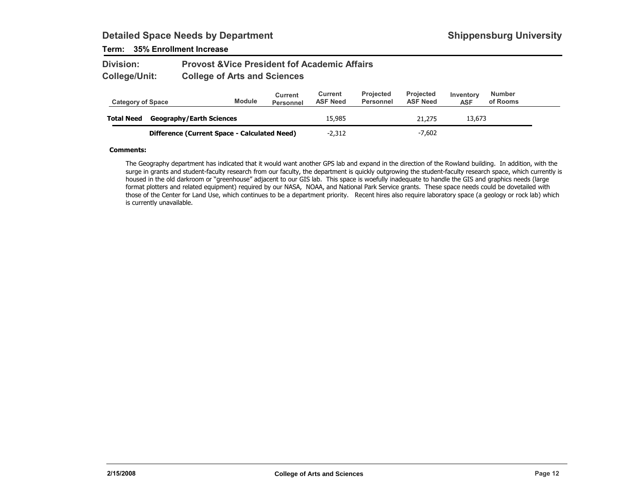### Term: 35% Enrollment Increase

#### Provost &Vice President fof Academic AffairsCollege of Arts and SciencesDivision:College/Unit:

| <b>Category of Space</b> |                                              | <b>Module</b> | Current<br><b>Personnel</b> | Current<br><b>ASF Need</b> | <b>Projected</b><br><b>Personnel</b> | <b>Projected</b><br><b>ASF Need</b> | Inventory<br><b>ASF</b> | <b>Number</b><br>of Rooms |  |
|--------------------------|----------------------------------------------|---------------|-----------------------------|----------------------------|--------------------------------------|-------------------------------------|-------------------------|---------------------------|--|
| <b>Total Need</b>        | <b>Geography/Earth Sciences</b>              |               |                             | 15,985                     |                                      | 21,275                              | 13,673                  |                           |  |
|                          | Difference (Current Space - Calculated Need) |               |                             | $-2.312$                   |                                      | $-7,602$                            |                         |                           |  |

#### Comments:

The Geography department has indicated that it would want another GPS lab and expand in the direction of the Rowland building. In addition, with the surge in grants and student-faculty research from our faculty, the department is quickly outgrowing the student-faculty research space, which currently is housed in the old darkroom or "greenhouse" adjacent to our GIS lab. This space is woefully inadequate to handle the GIS and graphics needs (large format plotters and related equipment) required by our NASA, NOAA, and National Park Service grants. These space needs could be dovetailed with those of the Center for Land Use, which continues to be a department priority. Recent hires also require laboratory space (a geology or rock lab) which is currently unavailable.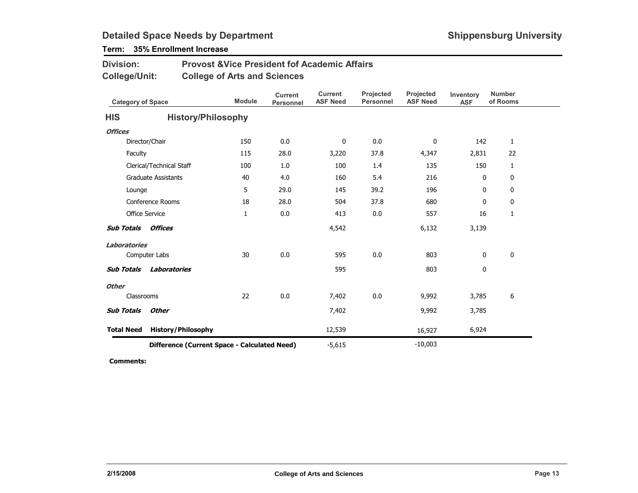## Term: 35% Enrollment Increase

| <b>Division:</b> | <b>Provost &amp; Vice President fof Academic Affairs</b> |
|------------------|----------------------------------------------------------|
| College/Unit:    | <b>College of Arts and Sciences</b>                      |

| <b>Category of Space</b>                     |                            | <b>Module</b> | <b>Current</b><br>Personnel | <b>Current</b><br><b>ASF Need</b> | Projected<br><b>Personnel</b> | Projected<br><b>ASF Need</b> | Inventory<br><b>ASF</b> | <b>Number</b><br>of Rooms |
|----------------------------------------------|----------------------------|---------------|-----------------------------|-----------------------------------|-------------------------------|------------------------------|-------------------------|---------------------------|
| <b>HIS</b>                                   | <b>History/Philosophy</b>  |               |                             |                                   |                               |                              |                         |                           |
| <b>Offices</b>                               |                            |               |                             |                                   |                               |                              |                         |                           |
|                                              | Director/Chair             | 150           | 0.0                         | 0                                 | 0.0                           | 0                            | 142                     | $\mathbf{1}$              |
| Faculty                                      |                            | 115           | 28.0                        | 3,220                             | 37.8                          | 4,347                        | 2,831                   | 22                        |
|                                              | Clerical/Technical Staff   | 100           | 1.0                         | 100                               | 1.4                           | 135                          | 150                     | 1                         |
|                                              | <b>Graduate Assistants</b> | 40            | 4.0                         | 160                               | 5.4                           | 216                          | 0                       | 0                         |
| Lounge                                       |                            | 5             | 29.0                        | 145                               | 39.2                          | 196                          | 0                       | 0                         |
|                                              | Conference Rooms           | 18            | 28.0                        | 504                               | 37.8                          | 680                          | 0                       | 0                         |
|                                              | <b>Office Service</b>      | 1             | 0.0                         | 413                               | 0.0                           | 557                          | 16                      | 1                         |
| <b>Sub Totals</b>                            | <b>Offices</b>             |               |                             | 4,542                             |                               | 6,132                        | 3,139                   |                           |
| <b>Laboratories</b>                          |                            |               |                             |                                   |                               |                              |                         |                           |
|                                              | Computer Labs              | 30            | 0.0                         | 595                               | 0.0                           | 803                          | 0                       | $\mathbf 0$               |
| <b>Sub Totals</b>                            | Laboratories               |               |                             | 595                               |                               | 803                          | 0                       |                           |
| <b>Other</b>                                 |                            |               |                             |                                   |                               |                              |                         |                           |
|                                              | Classrooms                 | 22            | 0.0                         | 7,402                             | 0.0                           | 9,992                        | 3,785                   | 6                         |
| <b>Sub Totals</b>                            | <b>Other</b>               |               |                             | 7,402                             |                               | 9,992                        | 3,785                   |                           |
| <b>Total Need</b>                            | <b>History/Philosophy</b>  |               |                             | 12,539                            |                               | 16,927                       | 6,924                   |                           |
| Difference (Current Space - Calculated Need) |                            |               |                             | $-5,615$                          |                               | $-10,003$                    |                         |                           |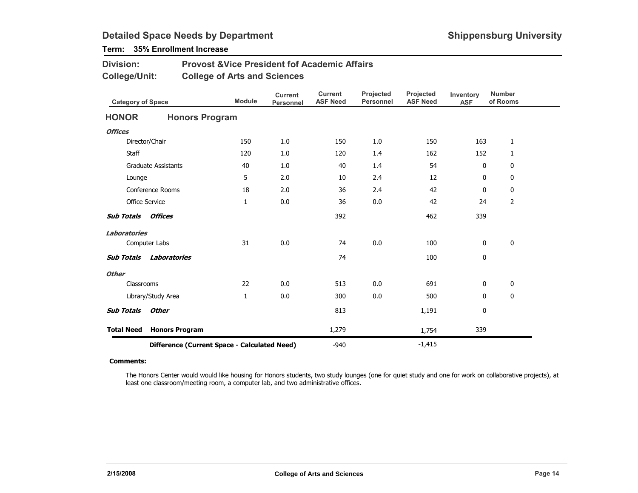## Term: 35% Enrollment Increase

| <b>Division:</b> | <b>Provost &amp; Vice President fof Academic Affairs</b> |
|------------------|----------------------------------------------------------|
| College/Unit:    | <b>College of Arts and Sciences</b>                      |

| <b>Category of Space</b>                     |                            | <b>Module</b> | <b>Current</b><br><b>Personnel</b> | <b>Current</b><br><b>ASF Need</b> | Projected<br><b>Personnel</b> | Projected<br><b>ASF Need</b> | Inventory<br><b>ASF</b> | <b>Number</b><br>of Rooms |
|----------------------------------------------|----------------------------|---------------|------------------------------------|-----------------------------------|-------------------------------|------------------------------|-------------------------|---------------------------|
| <b>HONOR</b>                                 | <b>Honors Program</b>      |               |                                    |                                   |                               |                              |                         |                           |
| <b>Offices</b>                               |                            |               |                                    |                                   |                               |                              |                         |                           |
|                                              | Director/Chair             | 150           | 1.0                                | 150                               | 1.0                           | 150                          | 163                     | 1                         |
| <b>Staff</b>                                 |                            | 120           | 1.0                                | 120                               | 1.4                           | 162                          | 152                     | 1                         |
|                                              | <b>Graduate Assistants</b> | 40            | 1.0                                | 40                                | 1.4                           | 54                           | 0                       | 0                         |
| Lounge                                       |                            | 5             | 2.0                                | 10                                | 2.4                           | 12                           | 0                       | 0                         |
|                                              | Conference Rooms           | 18            | 2.0                                | 36                                | 2.4                           | 42                           | $\mathbf{0}$            | 0                         |
|                                              | <b>Office Service</b>      | $\mathbf{1}$  | 0.0                                | 36                                | 0.0                           | 42                           | 24                      | $\overline{2}$            |
| <b>Sub Totals</b>                            | <b>Offices</b>             |               |                                    | 392                               |                               | 462                          | 339                     |                           |
| <b>Laboratories</b>                          |                            |               |                                    |                                   |                               |                              |                         |                           |
|                                              | Computer Labs              | 31            | 0.0                                | 74                                | 0.0                           | 100                          | 0                       | 0                         |
| <b>Sub Totals</b>                            | <b>Laboratories</b>        |               |                                    | 74                                |                               | 100                          | 0                       |                           |
| <b>Other</b>                                 |                            |               |                                    |                                   |                               |                              |                         |                           |
| Classrooms                                   |                            | 22            | 0.0                                | 513                               | 0.0                           | 691                          | 0                       | 0                         |
|                                              | Library/Study Area         | 1             | 0.0                                | 300                               | 0.0                           | 500                          | $\mathbf{0}$            | 0                         |
| <b>Sub Totals</b>                            | <b>Other</b>               |               |                                    | 813                               |                               | 1,191                        | 0                       |                           |
| <b>Total Need</b>                            | <b>Honors Program</b>      |               |                                    | 1,279                             |                               | 1,754                        | 339                     |                           |
| Difference (Current Space - Calculated Need) |                            |               |                                    | $-940$                            |                               | $-1,415$                     |                         |                           |

#### Comments:

The Honors Center would would like housing for Honors students, two study lounges (one for quiet study and one for work on collaborative projects), at least one classroom/meeting room, a computer lab, and two administrative offices.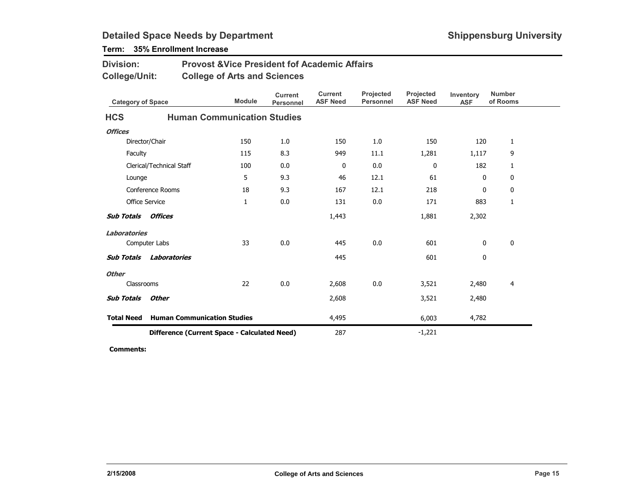| <b>Division:</b><br><b>Provost &amp; Vice President fof Academic Affairs</b><br><b>College/Unit:</b><br><b>College of Arts and Sciences</b> |                          |                                    |               |                                    |                                   |                               |                              |                         |                           |  |
|---------------------------------------------------------------------------------------------------------------------------------------------|--------------------------|------------------------------------|---------------|------------------------------------|-----------------------------------|-------------------------------|------------------------------|-------------------------|---------------------------|--|
| <b>Category of Space</b>                                                                                                                    |                          |                                    | <b>Module</b> | <b>Current</b><br><b>Personnel</b> | <b>Current</b><br><b>ASF Need</b> | Projected<br><b>Personnel</b> | Projected<br><b>ASF Need</b> | Inventory<br><b>ASF</b> | <b>Number</b><br>of Rooms |  |
| <b>HCS</b>                                                                                                                                  |                          | <b>Human Communication Studies</b> |               |                                    |                                   |                               |                              |                         |                           |  |
| <b>Offices</b>                                                                                                                              |                          |                                    |               |                                    |                                   |                               |                              |                         |                           |  |
|                                                                                                                                             | Director/Chair           |                                    | 150           | 1.0                                | 150                               | 1.0                           | 150                          | 120                     | 1                         |  |
| Faculty                                                                                                                                     |                          |                                    | 115           | 8.3                                | 949                               | 11.1                          | 1,281                        | 1,117                   | 9                         |  |
|                                                                                                                                             | Clerical/Technical Staff |                                    | 100           | 0.0                                | 0                                 | 0.0                           | 0                            | 182                     | 1                         |  |
| Lounge                                                                                                                                      |                          |                                    | 5             | 9.3                                | 46                                | 12.1                          | 61                           | 0                       | 0                         |  |
|                                                                                                                                             | Conference Rooms         |                                    | 18            | 9.3                                | 167                               | 12.1                          | 218                          | $\mathbf{0}$            | 0                         |  |
| <b>Office Service</b>                                                                                                                       |                          |                                    | 1             | 0.0                                | 131                               | 0.0                           | 171                          | 883                     | 1                         |  |
| <b>Sub Totals</b>                                                                                                                           | Offices                  |                                    |               |                                    | 1,443                             |                               | 1,881                        | 2,302                   |                           |  |
| <b>Laboratories</b>                                                                                                                         |                          |                                    |               |                                    |                                   |                               |                              |                         |                           |  |
|                                                                                                                                             | Computer Labs            |                                    | 33            | 0.0                                | 445                               | 0.0                           | 601                          | 0                       | 0                         |  |
| <b>Sub Totals</b>                                                                                                                           | Laboratories             |                                    |               |                                    | 445                               |                               | 601                          | 0                       |                           |  |
| <b>Other</b>                                                                                                                                |                          |                                    |               |                                    |                                   |                               |                              |                         |                           |  |
| Classrooms                                                                                                                                  |                          |                                    | 22            | 0.0                                | 2,608                             | 0.0                           | 3,521                        | 2,480                   | $\overline{4}$            |  |
| <b>Sub Totals</b>                                                                                                                           | <b>Other</b>             |                                    |               |                                    | 2,608                             |                               | 3,521                        | 2,480                   |                           |  |
| <b>Total Need</b>                                                                                                                           |                          | <b>Human Communication Studies</b> |               |                                    | 4,495                             |                               | 6,003                        | 4,782                   |                           |  |
| Difference (Current Space - Calculated Need)                                                                                                |                          |                                    |               |                                    | 287                               |                               | $-1,221$                     |                         |                           |  |

## Term: 35% Enrollment Increase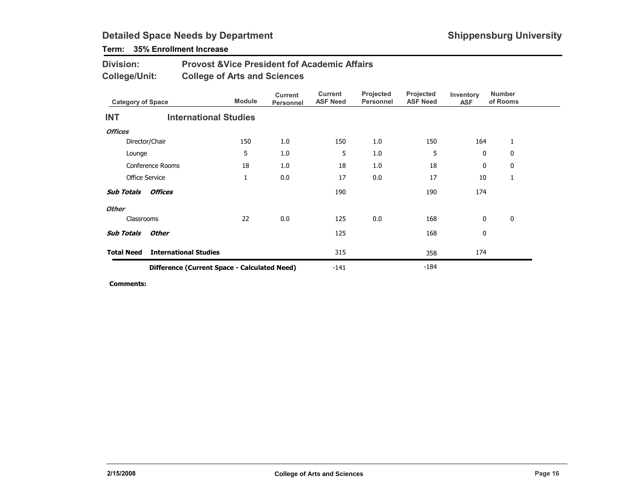## Term: 35% Enrollment Increase

| <b>Division:</b> | <b>Provost &amp; Vice President fof Academic Affairs</b> |
|------------------|----------------------------------------------------------|
| College/Unit:    | <b>College of Arts and Sciences</b>                      |

| <b>Category of Space</b> |                                              | <b>Module</b> | <b>Current</b><br>Personnel | Current<br><b>ASF Need</b> | Projected<br><b>Personnel</b> | Projected<br><b>ASF Need</b> | Inventory<br><b>ASF</b> | <b>Number</b><br>of Rooms |  |
|--------------------------|----------------------------------------------|---------------|-----------------------------|----------------------------|-------------------------------|------------------------------|-------------------------|---------------------------|--|
| <b>INT</b>               | <b>International Studies</b>                 |               |                             |                            |                               |                              |                         |                           |  |
| <b>Offices</b>           |                                              |               |                             |                            |                               |                              |                         |                           |  |
|                          | Director/Chair                               | 150           | 1.0                         | 150                        | 1.0                           | 150                          | 164                     | 1                         |  |
| Lounge                   |                                              | 5             | 1.0                         | 5                          | 1.0                           | 5                            | $\mathbf{0}$            | $\mathbf{0}$              |  |
|                          | Conference Rooms                             | 18            | 1.0                         | 18                         | 1.0                           | 18                           | 0                       | 0                         |  |
|                          | <b>Office Service</b>                        | $\mathbf{1}$  | 0.0                         | 17                         | 0.0                           | 17                           | 10                      | 1                         |  |
| <b>Sub Totals</b>        | <b>Offices</b>                               |               |                             | 190                        |                               | 190                          | 174                     |                           |  |
| <b>Other</b>             |                                              |               |                             |                            |                               |                              |                         |                           |  |
| Classrooms               |                                              | 22            | 0.0                         | 125                        | 0.0                           | 168                          | 0                       | $\mathbf 0$               |  |
| <b>Sub Totals</b>        | Other                                        |               |                             | 125                        |                               | 168                          | 0                       |                           |  |
| <b>Total Need</b>        | <b>International Studies</b>                 |               |                             | 315                        |                               | 358                          | 174                     |                           |  |
|                          | Difference (Current Space - Calculated Need) |               |                             | $-141$                     |                               | $-184$                       |                         |                           |  |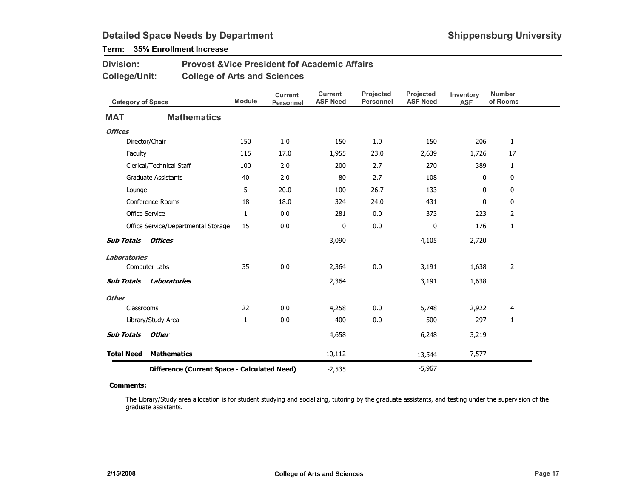## Term: 35% Enrollment Increase

| <b>Division:</b> | <b>Provost &amp; Vice President fof Academic Affairs</b> |
|------------------|----------------------------------------------------------|
| College/Unit:    | <b>College of Arts and Sciences</b>                      |

| <b>Category of Space</b> |                                              | <b>Module</b> | <b>Current</b><br><b>Personnel</b> | <b>Current</b><br><b>ASF Need</b> | Projected<br><b>Personnel</b> | Projected<br><b>ASF Need</b> | Inventory<br><b>ASF</b> | <b>Number</b><br>of Rooms |
|--------------------------|----------------------------------------------|---------------|------------------------------------|-----------------------------------|-------------------------------|------------------------------|-------------------------|---------------------------|
| <b>MAT</b>               | <b>Mathematics</b>                           |               |                                    |                                   |                               |                              |                         |                           |
| <b>Offices</b>           |                                              |               |                                    |                                   |                               |                              |                         |                           |
|                          | Director/Chair                               | 150           | 1.0                                | 150                               | 1.0                           | 150                          | 206                     | $\mathbf{1}$              |
| Faculty                  |                                              | 115           | 17.0                               | 1,955                             | 23.0                          | 2,639                        | 1,726                   | 17                        |
|                          | Clerical/Technical Staff                     | 100           | 2.0                                | 200                               | 2.7                           | 270                          | 389                     | $\mathbf{1}$              |
|                          | <b>Graduate Assistants</b>                   | 40            | 2.0                                | 80                                | 2.7                           | 108                          | 0                       | 0                         |
| Lounge                   |                                              | 5             | 20.0                               | 100                               | 26.7                          | 133                          | 0                       | 0                         |
|                          | Conference Rooms                             | 18            | 18.0                               | 324                               | 24.0                          | 431                          | 0                       | 0                         |
|                          | <b>Office Service</b>                        | $\mathbf{1}$  | 0.0                                | 281                               | 0.0                           | 373                          | 223                     | $\overline{2}$            |
|                          | Office Service/Departmental Storage          | 15            | 0.0                                | 0                                 | 0.0                           | 0                            | 176                     | 1                         |
| <b>Sub Totals</b>        | Offices                                      |               |                                    | 3,090                             |                               | 4,105                        | 2,720                   |                           |
| <b>Laboratories</b>      |                                              |               |                                    |                                   |                               |                              |                         |                           |
|                          | Computer Labs                                | 35            | 0.0                                | 2,364                             | 0.0                           | 3,191                        | 1,638                   | $\overline{2}$            |
| <b>Sub Totals</b>        | <b>Laboratories</b>                          |               |                                    | 2,364                             |                               | 3,191                        | 1,638                   |                           |
| <b>Other</b>             |                                              |               |                                    |                                   |                               |                              |                         |                           |
| Classrooms               |                                              | 22            | 0.0                                | 4,258                             | 0.0                           | 5,748                        | 2,922                   | 4                         |
|                          | Library/Study Area                           | $\mathbf{1}$  | $0.0\,$                            | 400                               | 0.0                           | 500                          | 297                     | $\mathbf{1}$              |
| <b>Sub Totals</b>        | <b>Other</b>                                 |               |                                    | 4,658                             |                               | 6,248                        | 3,219                   |                           |
| <b>Total Need</b>        | <b>Mathematics</b>                           |               |                                    | 10,112                            |                               | 13,544                       | 7,577                   |                           |
|                          | Difference (Current Space - Calculated Need) |               |                                    | $-2,535$                          |                               | $-5,967$                     |                         |                           |

#### Comments:

The Library/Study area allocation is for student studying and socializing, tutoring by the graduate assistants, and testing under the supervision of the graduate assistants.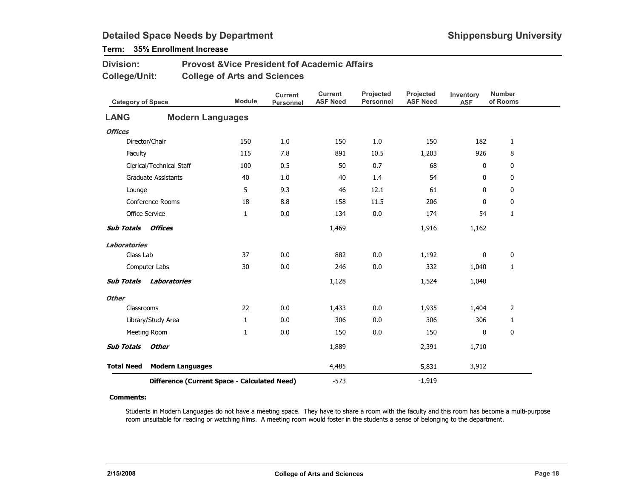## Term: 35% Enrollment Increase

| <b>Division:</b> | <b>Provost &amp; Vice President fof Academic Affairs</b> |
|------------------|----------------------------------------------------------|
| College/Unit:    | <b>College of Arts and Sciences</b>                      |

| <b>Category of Space</b> |                                              | <b>Module</b> | <b>Current</b><br>Personnel | <b>Current</b><br><b>ASF Need</b> | Projected<br><b>Personnel</b> | Projected<br><b>ASF Need</b> | Inventory<br><b>ASF</b> | <b>Number</b><br>of Rooms |
|--------------------------|----------------------------------------------|---------------|-----------------------------|-----------------------------------|-------------------------------|------------------------------|-------------------------|---------------------------|
| <b>LANG</b>              | <b>Modern Languages</b>                      |               |                             |                                   |                               |                              |                         |                           |
| <b>Offices</b>           |                                              |               |                             |                                   |                               |                              |                         |                           |
|                          | Director/Chair                               | 150           | 1.0                         | 150                               | 1.0                           | 150                          | 182                     | $\mathbf{1}$              |
| Faculty                  |                                              | 115           | 7.8                         | 891                               | 10.5                          | 1,203                        | 926                     | 8                         |
|                          | Clerical/Technical Staff                     | 100           | 0.5                         | 50                                | 0.7                           | 68                           | 0                       | 0                         |
|                          | <b>Graduate Assistants</b>                   | 40            | 1.0                         | 40                                | 1.4                           | 54                           | 0                       | 0                         |
| Lounge                   |                                              | 5             | 9.3                         | 46                                | 12.1                          | 61                           | $\mathbf{0}$            | 0                         |
|                          | Conference Rooms                             | 18            | 8.8                         | 158                               | 11.5                          | 206                          | 0                       | $\mathbf 0$               |
|                          | <b>Office Service</b>                        | 1             | 0.0                         | 134                               | 0.0                           | 174                          | 54                      | 1                         |
| <b>Sub Totals</b>        | <b>Offices</b>                               |               |                             | 1,469                             |                               | 1,916                        | 1,162                   |                           |
| <b>Laboratories</b>      |                                              |               |                             |                                   |                               |                              |                         |                           |
| Class Lab                |                                              | 37            | 0.0                         | 882                               | 0.0                           | 1,192                        | 0                       | 0                         |
|                          | Computer Labs                                | 30            | 0.0                         | 246                               | 0.0                           | 332                          | 1,040                   | $\mathbf{1}$              |
| <b>Sub Totals</b>        | Laboratories                                 |               |                             | 1,128                             |                               | 1,524                        | 1,040                   |                           |
| <b>Other</b>             |                                              |               |                             |                                   |                               |                              |                         |                           |
| Classrooms               |                                              | 22            | 0.0                         | 1,433                             | 0.0                           | 1,935                        | 1,404                   | 2                         |
|                          | Library/Study Area                           | 1             | 0.0                         | 306                               | 0.0                           | 306                          | 306                     | 1                         |
|                          | Meeting Room                                 | $\mathbf{1}$  | 0.0                         | 150                               | 0.0                           | 150                          | $\mathbf{0}$            | $\mathbf 0$               |
| <b>Sub Totals</b>        | Other                                        |               |                             | 1,889                             |                               | 2,391                        | 1,710                   |                           |
| <b>Total Need</b>        | <b>Modern Languages</b>                      |               |                             | 4,485                             |                               | 5,831                        | 3,912                   |                           |
|                          | Difference (Current Space - Calculated Need) |               |                             | $-573$                            |                               | $-1,919$                     |                         |                           |

#### Comments:

Students in Modern Languages do not have a meeting space. They have to share a room with the faculty and this room has become a multi-purpose room unsuitable for reading or watching films. A meeting room would foster in the students a sense of belonging to the department.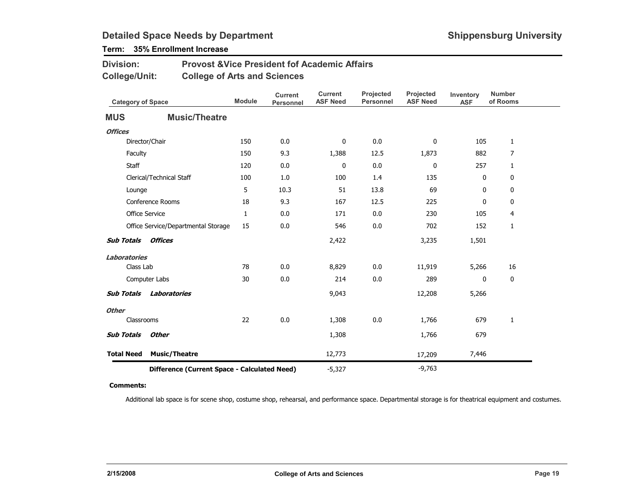## Term: 35% Enrollment Increase

| <b>Division:</b> | <b>Provost &amp; Vice President fof Academic Affairs</b> |
|------------------|----------------------------------------------------------|
| College/Unit:    | <b>College of Arts and Sciences</b>                      |

| <b>Category of Space</b> |                                              | <b>Module</b> | <b>Current</b><br><b>Personnel</b> | <b>Current</b><br><b>ASF Need</b> | Projected<br><b>Personnel</b> | Projected<br><b>ASF Need</b> | Inventory<br><b>ASF</b> | <b>Number</b><br>of Rooms |
|--------------------------|----------------------------------------------|---------------|------------------------------------|-----------------------------------|-------------------------------|------------------------------|-------------------------|---------------------------|
| <b>MUS</b>               | <b>Music/Theatre</b>                         |               |                                    |                                   |                               |                              |                         |                           |
| <b>Offices</b>           |                                              |               |                                    |                                   |                               |                              |                         |                           |
|                          | Director/Chair                               | 150           | 0.0                                | 0                                 | 0.0                           | 0                            | 105                     | $\mathbf{1}$              |
| Faculty                  |                                              | 150           | 9.3                                | 1,388                             | 12.5                          | 1,873                        | 882                     | $\overline{7}$            |
| Staff                    |                                              | 120           | 0.0                                | 0                                 | 0.0                           | 0                            | 257                     | $\mathbf{1}$              |
|                          | Clerical/Technical Staff                     | 100           | 1.0                                | 100                               | 1.4                           | 135                          | 0                       | 0                         |
| Lounge                   |                                              | 5             | 10.3                               | 51                                | 13.8                          | 69                           | 0                       | 0                         |
|                          | Conference Rooms                             | 18            | 9.3                                | 167                               | 12.5                          | 225                          | 0                       | 0                         |
|                          | Office Service                               | $\mathbf{1}$  | 0.0                                | 171                               | 0.0                           | 230                          | 105                     | 4                         |
|                          | Office Service/Departmental Storage          | 15            | 0.0                                | 546                               | 0.0                           | 702                          | 152                     | 1                         |
| <b>Sub Totals</b>        | <b>Offices</b>                               |               |                                    | 2,422                             |                               | 3,235                        | 1,501                   |                           |
| <b>Laboratories</b>      |                                              |               |                                    |                                   |                               |                              |                         |                           |
| Class Lab                |                                              | 78            | 0.0                                | 8,829                             | 0.0                           | 11,919                       | 5,266                   | 16                        |
|                          | Computer Labs                                | 30            | 0.0                                | 214                               | 0.0                           | 289                          | 0                       | 0                         |
| <b>Sub Totals</b>        | <b>Laboratories</b>                          |               |                                    | 9,043                             |                               | 12,208                       | 5,266                   |                           |
| <b>Other</b>             |                                              |               |                                    |                                   |                               |                              |                         |                           |
| Classrooms               |                                              | 22            | 0.0                                | 1,308                             | 0.0                           | 1,766                        | 679                     | 1                         |
| <b>Sub Totals</b>        | <b>Other</b>                                 |               |                                    | 1,308                             |                               | 1,766                        | 679                     |                           |
| <b>Total Need</b>        | <b>Music/Theatre</b>                         |               |                                    | 12,773                            |                               | 17,209                       | 7,446                   |                           |
|                          | Difference (Current Space - Calculated Need) |               |                                    | $-5,327$                          |                               | $-9,763$                     |                         |                           |

#### Comments:

Additional lab space is for scene shop, costume shop, rehearsal, and performance space. Departmental storage is for theatrical equipment and costumes.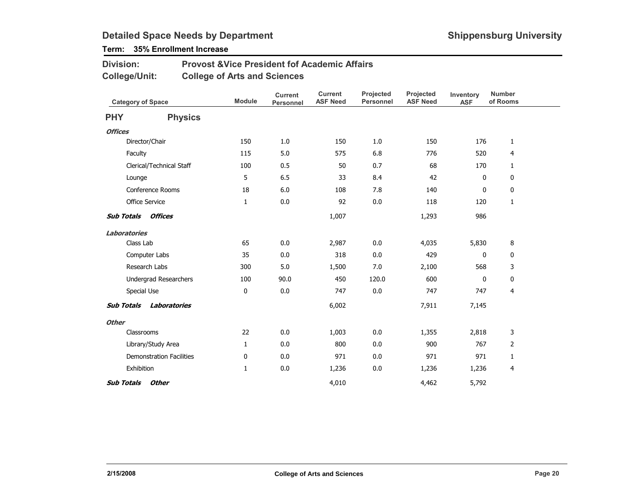## Term: 35% Enrollment Increase

| <b>Division:</b>     | <b>Provost &amp; Vice President fof Academic Affairs</b> |
|----------------------|----------------------------------------------------------|
| <b>College/Unit:</b> | <b>College of Arts and Sciences</b>                      |

| <b>Category of Space</b> |                                 | <b>Module</b> | <b>Current</b><br>Personnel | <b>Current</b><br><b>ASF Need</b> | Projected<br><b>Personnel</b> | Projected<br><b>ASF Need</b> | Inventory<br><b>ASF</b> | <b>Number</b><br>of Rooms |  |
|--------------------------|---------------------------------|---------------|-----------------------------|-----------------------------------|-------------------------------|------------------------------|-------------------------|---------------------------|--|
| <b>PHY</b>               | <b>Physics</b>                  |               |                             |                                   |                               |                              |                         |                           |  |
| <b>Offices</b>           |                                 |               |                             |                                   |                               |                              |                         |                           |  |
|                          | Director/Chair                  | 150           | 1.0                         | 150                               | 1.0                           | 150                          | 176                     | $\mathbf{1}$              |  |
|                          | Faculty                         | 115           | 5.0                         | 575                               | 6.8                           | 776                          | 520                     | $\overline{4}$            |  |
|                          | Clerical/Technical Staff        | 100           | 0.5                         | 50                                | 0.7                           | 68                           | 170                     | $\mathbf{1}$              |  |
|                          | Lounge                          | 5             | 6.5                         | 33                                | 8.4                           | 42                           | 0                       | $\mathbf 0$               |  |
|                          | Conference Rooms                | 18            | 6.0                         | 108                               | 7.8                           | 140                          | 0                       | $\mathbf 0$               |  |
|                          | Office Service                  | $\mathbf{1}$  | 0.0                         | 92                                | 0.0                           | 118                          | 120                     | $\mathbf{1}$              |  |
|                          | <b>Sub Totals Offices</b>       |               |                             | 1,007                             |                               | 1,293                        | 986                     |                           |  |
| <b>Laboratories</b>      |                                 |               |                             |                                   |                               |                              |                         |                           |  |
|                          | Class Lab                       | 65            | 0.0                         | 2,987                             | 0.0                           | 4,035                        | 5,830                   | 8                         |  |
|                          | Computer Labs                   | 35            | 0.0                         | 318                               | 0.0                           | 429                          | $\mathbf 0$             | 0                         |  |
|                          | Research Labs                   | 300           | 5.0                         | 1,500                             | 7.0                           | 2,100                        | 568                     | 3                         |  |
|                          | <b>Undergrad Researchers</b>    | 100           | 90.0                        | 450                               | 120.0                         | 600                          | 0                       | $\mathbf 0$               |  |
|                          | Special Use                     | 0             | 0.0                         | 747                               | 0.0                           | 747                          | 747                     | $\overline{4}$            |  |
| <b>Sub Totals</b>        | Laboratories                    |               |                             | 6,002                             |                               | 7,911                        | 7,145                   |                           |  |
| <b>Other</b>             |                                 |               |                             |                                   |                               |                              |                         |                           |  |
|                          | Classrooms                      | 22            | 0.0                         | 1,003                             | 0.0                           | 1,355                        | 2,818                   | 3                         |  |
|                          | Library/Study Area              | $\mathbf{1}$  | 0.0                         | 800                               | 0.0                           | 900                          | 767                     | 2                         |  |
|                          | <b>Demonstration Facilities</b> | 0             | 0.0                         | 971                               | 0.0                           | 971                          | 971                     | $\mathbf{1}$              |  |
|                          | Exhibition                      | 1             | 0.0                         | 1,236                             | 0.0                           | 1,236                        | 1,236                   | 4                         |  |
| <b>Sub Totals</b>        | Other                           |               |                             | 4,010                             |                               | 4,462                        | 5,792                   |                           |  |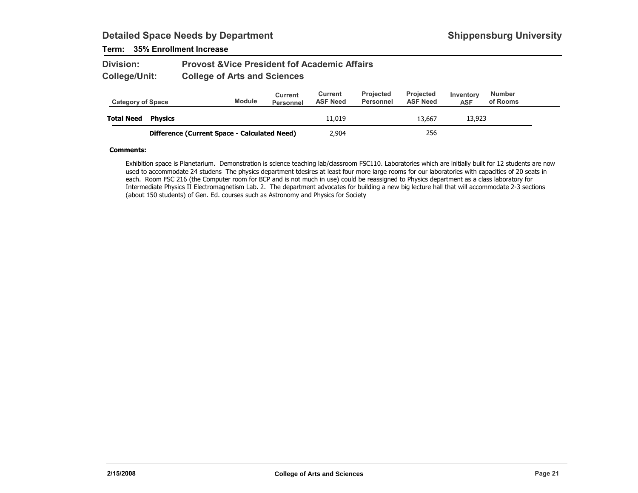### Term: 35% Enrollment Increase

| <b>Division:</b> | <b>Provost &amp; Vice President fof Academic Affairs</b> |
|------------------|----------------------------------------------------------|
| College/Unit:    | <b>College of Arts and Sciences</b>                      |

| <b>Category of Space</b> |                                              | <b>Module</b> | <b>Current</b><br><b>Personnel</b> | Current<br><b>ASF Need</b> | <b>Projected</b><br>Personnel | <b>Projected</b><br><b>ASF Need</b> | Inventory<br><b>ASF</b> | <b>Number</b><br>of Rooms |  |
|--------------------------|----------------------------------------------|---------------|------------------------------------|----------------------------|-------------------------------|-------------------------------------|-------------------------|---------------------------|--|
| <b>Total Need</b>        | <b>Physics</b>                               |               |                                    | 11,019                     |                               | 13,667                              | 13,923                  |                           |  |
|                          | Difference (Current Space - Calculated Need) |               |                                    | 2,904                      |                               | 256                                 |                         |                           |  |

#### Comments:

Exhibition space is Planetarium. Demonstration is science teaching lab/classroom FSC110. Laboratories which are initially built for 12 students are now used to accommodate 24 studens The physics department tdesires at least four more large rooms for our laboratories with capacities of 20 seats in each. Room FSC 216 (the Computer room for BCP and is not much in use) could be reassigned to Physics department as a class laboratory for Intermediate Physics II Electromagnetism Lab. 2. The department advocates for building a new big lecture hall that will accommodate 2-3 sections (about 150 students) of Gen. Ed. courses such as Astronomy and Physics for Society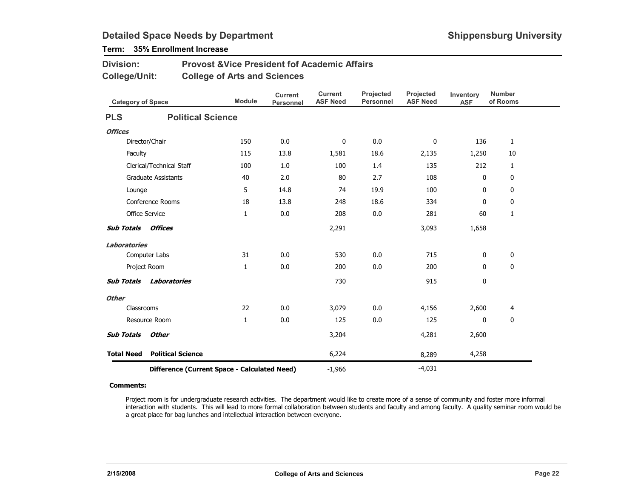## Term: 35% Enrollment Increase

| <b>Division:</b> | <b>Provost &amp; Vice President fof Academic Affairs</b> |
|------------------|----------------------------------------------------------|
| College/Unit:    | <b>College of Arts and Sciences</b>                      |

| <b>Category of Space</b> |                                              | <b>Module</b> | <b>Current</b><br><b>Personnel</b> | <b>Current</b><br><b>ASF Need</b> | Projected<br>Personnel | Projected<br><b>ASF Need</b> | Inventory<br><b>ASF</b> | <b>Number</b><br>of Rooms |
|--------------------------|----------------------------------------------|---------------|------------------------------------|-----------------------------------|------------------------|------------------------------|-------------------------|---------------------------|
| <b>PLS</b>               | <b>Political Science</b>                     |               |                                    |                                   |                        |                              |                         |                           |
| <b>Offices</b>           |                                              |               |                                    |                                   |                        |                              |                         |                           |
|                          | Director/Chair                               | 150           | 0.0                                | 0                                 | 0.0                    | 0                            | 136                     | $\mathbf{1}$              |
| Faculty                  |                                              | 115           | 13.8                               | 1,581                             | 18.6                   | 2,135                        | 1,250                   | 10                        |
|                          | Clerical/Technical Staff                     | 100           | 1.0                                | 100                               | 1.4                    | 135                          | 212                     | $\mathbf{1}$              |
|                          | <b>Graduate Assistants</b>                   | 40            | 2.0                                | 80                                | 2.7                    | 108                          | 0                       | 0                         |
| Lounge                   |                                              | 5             | 14.8                               | 74                                | 19.9                   | 100                          | 0                       | 0                         |
|                          | <b>Conference Rooms</b>                      | 18            | 13.8                               | 248                               | 18.6                   | 334                          | $\mathbf{0}$            | 0                         |
|                          | <b>Office Service</b>                        | $\mathbf{1}$  | 0.0                                | 208                               | 0.0                    | 281                          | 60                      | 1                         |
| <b>Sub Totals</b>        | <b>Offices</b>                               |               |                                    | 2,291                             |                        | 3,093                        | 1,658                   |                           |
| <b>Laboratories</b>      |                                              |               |                                    |                                   |                        |                              |                         |                           |
|                          | Computer Labs                                | 31            | 0.0                                | 530                               | 0.0                    | 715                          | 0                       | 0                         |
|                          | Project Room                                 | $\mathbf{1}$  | 0.0                                | 200                               | 0.0                    | 200                          | 0                       | $\mathbf 0$               |
| <b>Sub Totals</b>        | Laboratories                                 |               |                                    | 730                               |                        | 915                          | 0                       |                           |
| <b>Other</b>             |                                              |               |                                    |                                   |                        |                              |                         |                           |
| Classrooms               |                                              | 22            | 0.0                                | 3,079                             | 0.0                    | 4,156                        | 2,600                   | 4                         |
|                          | Resource Room                                | $\mathbf{1}$  | 0.0                                | 125                               | 0.0                    | 125                          | 0                       | $\mathbf 0$               |
| <b>Sub Totals</b>        | <b>Other</b>                                 |               |                                    | 3,204                             |                        | 4,281                        | 2,600                   |                           |
| <b>Total Need</b>        | <b>Political Science</b>                     |               |                                    | 6,224                             |                        | 8,289                        | 4,258                   |                           |
|                          | Difference (Current Space - Calculated Need) |               | $-1,966$                           |                                   | $-4,031$               |                              |                         |                           |

#### Comments:

Project room is for undergraduate research activities. The department would like to create more of a sense of community and foster more informal interaction with students. This will lead to more formal collaboration between students and faculty and among faculty. A quality seminar room would be a great place for bag lunches and intellectual interaction between everyone.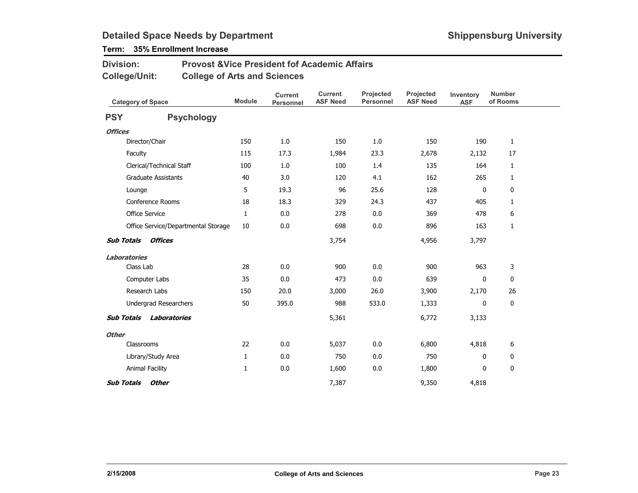## Term: 35% Enrollment Increase

#### Provost &Vice President fof Academic AffairsCollege of Arts and SciencesDivision:College/Unit:

| <b>Category of Space</b> |                                     | <b>Module</b> | <b>Current</b><br><b>Personnel</b> | <b>Current</b><br><b>ASF Need</b> | Projected<br><b>Personnel</b> | Projected<br><b>ASF Need</b> | Inventory<br><b>ASF</b> | <b>Number</b><br>of Rooms |  |
|--------------------------|-------------------------------------|---------------|------------------------------------|-----------------------------------|-------------------------------|------------------------------|-------------------------|---------------------------|--|
| <b>PSY</b>               | <b>Psychology</b>                   |               |                                    |                                   |                               |                              |                         |                           |  |
| <b>Offices</b>           |                                     |               |                                    |                                   |                               |                              |                         |                           |  |
|                          | Director/Chair                      | 150           | 1.0                                | 150                               | 1.0                           | 150                          | 190                     | $\mathbf{1}$              |  |
| Faculty                  |                                     | 115           | 17.3                               | 1,984                             | 23.3                          | 2,678                        | 2,132                   | 17                        |  |
|                          | Clerical/Technical Staff            | 100           | 1.0                                | 100                               | 1.4                           | 135                          | 164                     | $\mathbf{1}$              |  |
|                          | <b>Graduate Assistants</b>          | 40            | 3.0                                | 120                               | 4.1                           | 162                          | 265                     | $\mathbf{1}$              |  |
| Lounge                   |                                     | 5             | 19.3                               | 96                                | 25.6                          | 128                          | 0                       | 0                         |  |
|                          | Conference Rooms                    | 18            | 18.3                               | 329                               | 24.3                          | 437                          | 405                     | 1                         |  |
|                          | <b>Office Service</b>               | $\mathbf{1}$  | 0.0                                | 278                               | 0.0                           | 369                          | 478                     | 6                         |  |
|                          | Office Service/Departmental Storage | 10            | 0.0                                | 698                               | 0.0                           | 896                          | 163                     | 1                         |  |
| <b>Sub Totals</b>        | Offices                             |               |                                    | 3,754                             |                               | 4,956                        | 3,797                   |                           |  |
| Laboratories             |                                     |               |                                    |                                   |                               |                              |                         |                           |  |
| Class Lab                |                                     | 28            | 0.0                                | 900                               | 0.0                           | 900                          | 963                     | 3                         |  |
|                          | Computer Labs                       | 35            | 0.0                                | 473                               | 0.0                           | 639                          | 0                       | 0                         |  |
|                          | Research Labs                       | 150           | 20.0                               | 3,000                             | 26.0                          | 3,900                        | 2,170                   | 26                        |  |
|                          | Undergrad Researchers               | 50            | 395.0                              | 988                               | 533.0                         | 1,333                        | 0                       | 0                         |  |
| <b>Sub Totals</b>        | Laboratories                        |               |                                    | 5,361                             |                               | 6,772                        | 3,133                   |                           |  |
| <b>Other</b>             |                                     |               |                                    |                                   |                               |                              |                         |                           |  |
|                          | Classrooms                          | 22            | 0.0                                | 5,037                             | 0.0                           | 6,800                        | 4,818                   | 6                         |  |
|                          | Library/Study Area                  | 1             | 0.0                                | 750                               | 0.0                           | 750                          | $\mathbf{0}$            | 0                         |  |
|                          | Animal Facility                     | 1             | 0.0                                | 1,600                             | 0.0                           | 1,800                        | 0                       | $\mathbf 0$               |  |
| <b>Sub Totals</b>        | <b>Other</b>                        |               |                                    | 7,387                             |                               | 9,350                        | 4,818                   |                           |  |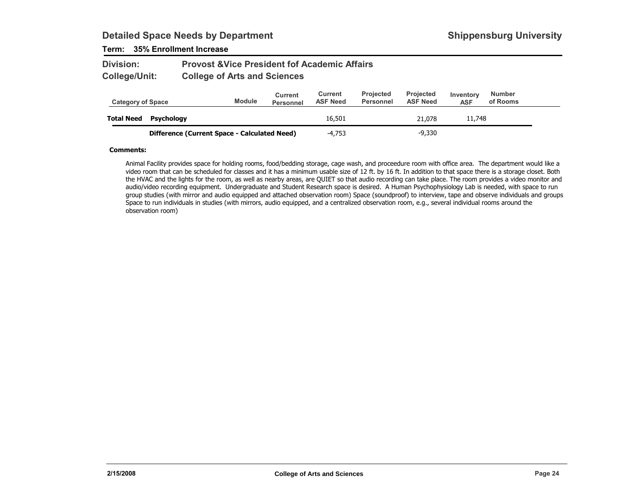### Term: 35% Enrollment Increase

| <b>Division:</b> | <b>Provost &amp; Vice President fof Academic Affairs</b> |
|------------------|----------------------------------------------------------|
| College/Unit:    | <b>College of Arts and Sciences</b>                      |

| <b>Category of Space</b> |                                              | <b>Module</b> | Current<br>Personnel | Current<br><b>ASF Need</b> | <b>Projected</b><br>Personnel | <b>Projected</b><br><b>ASF Need</b> | Inventory<br><b>ASF</b> | <b>Number</b><br>of Rooms |
|--------------------------|----------------------------------------------|---------------|----------------------|----------------------------|-------------------------------|-------------------------------------|-------------------------|---------------------------|
| <b>Total Need</b>        | Psychology                                   |               |                      | 16,501                     |                               | 21.078                              | 11,748                  |                           |
|                          | Difference (Current Space - Calculated Need) |               |                      | $-4.753$                   |                               | $-9,330$                            |                         |                           |

#### Comments:

Animal Facility provides space for holding rooms, food/bedding storage, cage wash, and proceedure room with office area. The department would like a video room that can be scheduled for classes and it has a minimum usable size of 12 ft. by 16 ft. In addition to that space there is a storage closet. Both the HVAC and the lights for the room, as well as nearby areas, are QUIET so that audio recording can take place. The room provides a video monitor and audio/video recording equipment. Undergraduate and Student Research space is desired. A Human Psychophysiology Lab is needed, with space to run group studies (with mirror and audio equipped and attached observation room) Space (soundproof) to interview, tape and observe individuals and groups Space to run individuals in studies (with mirrors, audio equipped, and a centralized observation room, e.g., several individual rooms around the observation room)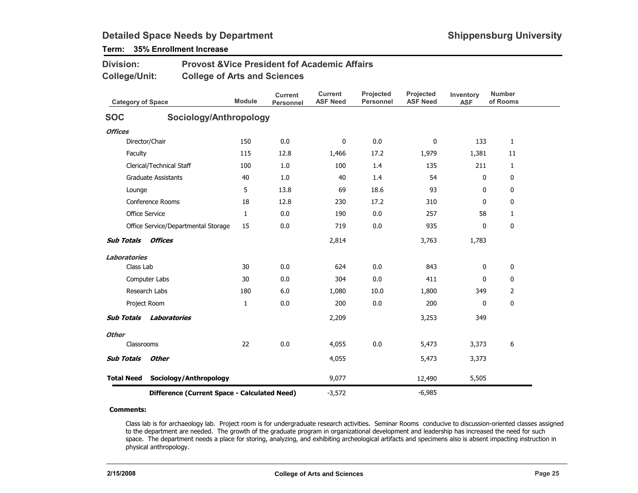| <b>Division:</b>                    | <b>Provost &amp; Vice President fof Academic Affairs</b> |               |                             |                            |                               |                              |                         |                           |
|-------------------------------------|----------------------------------------------------------|---------------|-----------------------------|----------------------------|-------------------------------|------------------------------|-------------------------|---------------------------|
| <b>College/Unit:</b>                | <b>College of Arts and Sciences</b>                      |               |                             |                            |                               |                              |                         |                           |
| <b>Category of Space</b>            |                                                          | <b>Module</b> | <b>Current</b><br>Personnel | Current<br><b>ASF Need</b> | Projected<br><b>Personnel</b> | Projected<br><b>ASF Need</b> | Inventory<br><b>ASF</b> | <b>Number</b><br>of Rooms |
| <b>SOC</b>                          | Sociology/Anthropology                                   |               |                             |                            |                               |                              |                         |                           |
| <b>Offices</b>                      |                                                          |               |                             |                            |                               |                              |                         |                           |
| Director/Chair                      |                                                          | 150           | 0.0                         | 0                          | 0.0                           | 0                            | 133                     | $\mathbf{1}$              |
| Faculty                             |                                                          | 115           | 12.8                        | 1,466                      | 17.2                          | 1,979                        | 1,381                   | 11                        |
| Clerical/Technical Staff            |                                                          | 100           | 1.0                         | 100                        | 1.4                           | 135                          | 211                     | $\mathbf{1}$              |
| <b>Graduate Assistants</b>          |                                                          | 40            | 1.0                         | 40                         | 1.4                           | 54                           | $\Omega$                | 0                         |
| Lounge                              |                                                          | 5             | 13.8                        | 69                         | 18.6                          | 93                           | $\mathbf{0}$            | 0                         |
| Conference Rooms                    |                                                          | 18            | 12.8                        | 230                        | 17.2                          | 310                          | $\mathbf{0}$            | 0                         |
| <b>Office Service</b>               |                                                          | $\mathbf{1}$  | 0.0                         | 190                        | 0.0                           | 257                          | 58                      | $\mathbf{1}$              |
|                                     | Office Service/Departmental Storage                      | 15            | 0.0                         | 719                        | 0.0                           | 935                          | 0                       | 0                         |
| <b>Sub Totals</b><br><b>Offices</b> |                                                          |               |                             | 2,814                      |                               | 3,763                        | 1,783                   |                           |
| <b>Laboratories</b>                 |                                                          |               |                             |                            |                               |                              |                         |                           |
| Class Lab                           |                                                          | 30            | 0.0                         | 624                        | 0.0                           | 843                          | 0                       | 0                         |
| Computer Labs                       |                                                          | 30            | 0.0                         | 304                        | 0.0                           | 411                          | $\mathbf{0}$            | 0                         |
| Research Labs                       |                                                          | 180           | 6.0                         | 1,080                      | 10.0                          | 1,800                        | 349                     | $\overline{2}$            |
| Project Room                        |                                                          | $\mathbf{1}$  | 0.0                         | 200                        | 0.0                           | 200                          | $\mathbf{0}$            | 0                         |
| <b>Sub Totals</b>                   | Laboratories                                             |               |                             | 2,209                      |                               | 3,253                        | 349                     |                           |
| <b>Other</b>                        |                                                          |               |                             |                            |                               |                              |                         |                           |
| Classrooms                          |                                                          | 22            | 0.0                         | 4,055                      | 0.0                           | 5,473                        | 3,373                   | 6                         |
| <b>Sub Totals</b><br><b>Other</b>   |                                                          |               |                             | 4,055                      |                               | 5,473                        | 3,373                   |                           |
| <b>Total Need</b>                   | Sociology/Anthropology                                   |               |                             | 9,077                      |                               | 12,490                       | 5,505                   |                           |

## Term: 35% Enrollment Increase

Difference (Current Space - Calculated Need)-3,572

#### Comments:

Class lab is for archaeology lab. Project room is for undergraduate research activities. Seminar Rooms conducive to discussion-oriented classes assigned to the department are needed. The growth of the graduate program in organizational development and leadership has increased the need for such space. The department needs a place for storing, analyzing, and exhibiting archeological artifacts and specimens also is absent impacting instruction in physical anthropology.

-6,985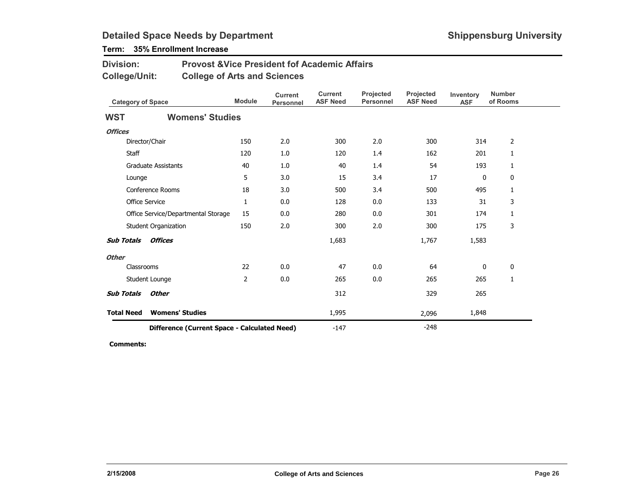## Term: 35% Enrollment Increase

| <b>Division:</b> | <b>Provost &amp; Vice President fof Academic Affairs</b> |
|------------------|----------------------------------------------------------|
| College/Unit:    | <b>College of Arts and Sciences</b>                      |

|                                              | <b>Category of Space</b>            |              | <b>Current</b><br><b>Personnel</b> | <b>Current</b><br><b>ASF Need</b> | Projected<br><b>Personnel</b> | <b>Projected</b><br><b>ASF Need</b> | Inventory<br><b>ASF</b> | <b>Number</b><br>of Rooms |
|----------------------------------------------|-------------------------------------|--------------|------------------------------------|-----------------------------------|-------------------------------|-------------------------------------|-------------------------|---------------------------|
| <b>WST</b>                                   | <b>Womens' Studies</b>              |              |                                    |                                   |                               |                                     |                         |                           |
| <b>Offices</b>                               |                                     |              |                                    |                                   |                               |                                     |                         |                           |
|                                              | Director/Chair                      | 150          | 2.0                                | 300                               | 2.0                           | 300                                 | 314                     | 2                         |
| Staff                                        |                                     | 120          | 1.0                                | 120                               | 1.4                           | 162                                 | 201                     | 1                         |
|                                              | <b>Graduate Assistants</b>          | 40           | 1.0                                | 40                                | 1.4                           | 54                                  | 193                     | 1                         |
| Lounge                                       |                                     | 5            | 3.0                                | 15                                | 3.4                           | 17                                  | $\mathbf 0$             | 0                         |
|                                              | Conference Rooms                    | 18           | 3.0                                | 500                               | 3.4                           | 500                                 | 495                     | 1                         |
|                                              | Office Service                      | $\mathbf{1}$ | 0.0                                | 128                               | 0.0                           | 133                                 | 31                      | 3                         |
|                                              | Office Service/Departmental Storage | 15           | 0.0                                | 280                               | 0.0                           | 301                                 | 174                     | 1                         |
|                                              | Student Organization                | 150          | 2.0                                | 300                               | 2.0                           | 300                                 | 175                     | 3                         |
| <b>Sub Totals</b>                            | <b>Offices</b>                      |              |                                    | 1,683                             |                               | 1,767                               | 1,583                   |                           |
| <b>Other</b>                                 |                                     |              |                                    |                                   |                               |                                     |                         |                           |
| Classrooms                                   |                                     | 22           | 0.0                                | 47                                | 0.0                           | 64                                  | 0                       | 0                         |
|                                              | Student Lounge                      | 2            | 0.0                                | 265                               | 0.0                           | 265                                 | 265                     | 1                         |
| <b>Sub Totals</b>                            | <b>Other</b>                        |              |                                    | 312                               |                               | 329                                 | 265                     |                           |
| <b>Total Need</b>                            | <b>Womens' Studies</b>              |              |                                    | 1,995                             |                               | 2,096                               | 1,848                   |                           |
| Difference (Current Space - Calculated Need) |                                     |              |                                    | $-147$                            |                               | $-248$                              |                         |                           |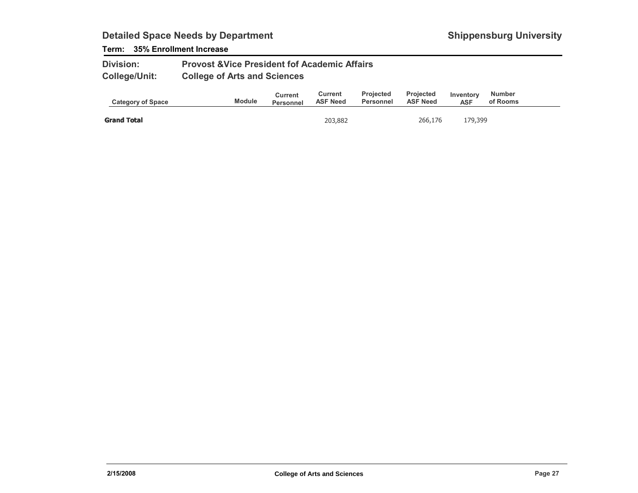### Term: 35% Enrollment Increase

| <b>Division:</b>     | <b>Provost &amp; Vice President fof Academic Affairs</b> |
|----------------------|----------------------------------------------------------|
| <b>College/Unit:</b> | <b>College of Arts and Sciences</b>                      |

| <b>Module</b><br><b>Category of Space</b> | <b>Personnel</b> | <b>ASF Need</b> | Personnel | <b>ASF Need</b> | Inventory<br><b>ASF</b> | of Rooms |  |
|-------------------------------------------|------------------|-----------------|-----------|-----------------|-------------------------|----------|--|
| <b>Grand Total</b>                        |                  | 203,882         |           | 266,176         | 179,399                 |          |  |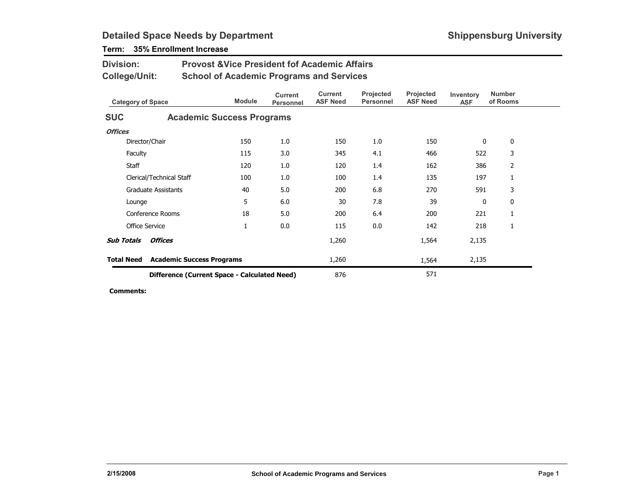| <b>Division:</b><br><b>Provost &amp; Vice President fof Academic Affairs</b><br><b>College/Unit:</b><br><b>School of Academic Programs and Services</b> |                                                            |                                  |                                    |                                   |                               |                              |                         |                           |  |
|---------------------------------------------------------------------------------------------------------------------------------------------------------|------------------------------------------------------------|----------------------------------|------------------------------------|-----------------------------------|-------------------------------|------------------------------|-------------------------|---------------------------|--|
| <b>Category of Space</b>                                                                                                                                |                                                            | <b>Module</b>                    | <b>Current</b><br><b>Personnel</b> | <b>Current</b><br><b>ASF Need</b> | Projected<br><b>Personnel</b> | Projected<br><b>ASF Need</b> | Inventory<br><b>ASF</b> | <b>Number</b><br>of Rooms |  |
| <b>SUC</b>                                                                                                                                              |                                                            | <b>Academic Success Programs</b> |                                    |                                   |                               |                              |                         |                           |  |
| <b>Offices</b>                                                                                                                                          |                                                            |                                  |                                    |                                   |                               |                              |                         |                           |  |
|                                                                                                                                                         | Director/Chair                                             | 150                              | 1.0                                | 150                               | 1.0                           | 150                          | $\bf{0}$                | $\mathbf 0$               |  |
| Faculty                                                                                                                                                 |                                                            | 115                              | 3.0                                | 345                               | 4.1                           | 466                          | 522                     | 3                         |  |
| Staff                                                                                                                                                   |                                                            | 120                              | 1.0                                | 120                               | 1.4                           | 162                          | 386                     | 2                         |  |
|                                                                                                                                                         | Clerical/Technical Staff                                   | 100                              | 1.0                                | 100                               | 1.4                           | 135                          | 197                     | 1                         |  |
|                                                                                                                                                         | <b>Graduate Assistants</b>                                 | 40                               | 5.0                                | 200                               | 6.8                           | 270                          | 591                     | 3                         |  |
| Lounge                                                                                                                                                  |                                                            | 5                                | 6.0                                | 30                                | 7.8                           | 39                           | 0                       | 0                         |  |
|                                                                                                                                                         | Conference Rooms                                           | 18                               | 5.0                                | 200                               | 6.4                           | 200                          | 221                     | 1                         |  |
|                                                                                                                                                         | <b>Office Service</b>                                      | $\mathbf{1}$                     | 0.0                                | 115                               | 0.0                           | 142                          | 218                     | 1                         |  |
| <b>Sub Totals</b>                                                                                                                                       | <b>Offices</b>                                             |                                  |                                    | 1,260                             |                               | 1,564                        | 2,135                   |                           |  |
| <b>Total Need</b>                                                                                                                                       |                                                            | <b>Academic Success Programs</b> |                                    | 1,260                             |                               | 1,564                        | 2,135                   |                           |  |
|                                                                                                                                                         | 571<br>876<br>Difference (Current Space - Calculated Need) |                                  |                                    |                                   |                               |                              |                         |                           |  |

## Term: 35% Enrollment Increase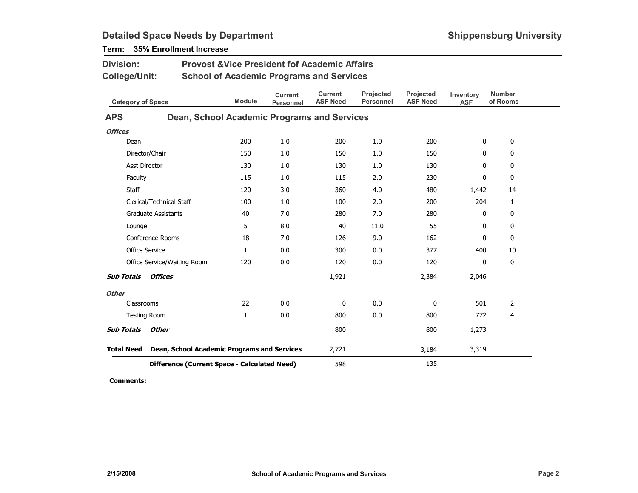| <b>Division:</b>                                                 |                                              | <b>Provost &amp; Vice President fof Academic Affairs</b> |                                    |                                   |                               |                              |                         |                           |  |  |  |
|------------------------------------------------------------------|----------------------------------------------|----------------------------------------------------------|------------------------------------|-----------------------------------|-------------------------------|------------------------------|-------------------------|---------------------------|--|--|--|
| <b>College/Unit:</b>                                             |                                              | <b>School of Academic Programs and Services</b>          |                                    |                                   |                               |                              |                         |                           |  |  |  |
| <b>Category of Space</b>                                         |                                              | <b>Module</b>                                            | <b>Current</b><br><b>Personnel</b> | <b>Current</b><br><b>ASF Need</b> | Projected<br><b>Personnel</b> | Projected<br><b>ASF Need</b> | Inventory<br><b>ASF</b> | <b>Number</b><br>of Rooms |  |  |  |
| <b>APS</b>                                                       | Dean, School Academic Programs and Services  |                                                          |                                    |                                   |                               |                              |                         |                           |  |  |  |
| <b>Offices</b>                                                   |                                              |                                                          |                                    |                                   |                               |                              |                         |                           |  |  |  |
| Dean                                                             |                                              | 200                                                      | 1.0                                | 200                               | 1.0                           | 200                          | 0                       | 0                         |  |  |  |
| Director/Chair                                                   |                                              | 150                                                      | 1.0                                | 150                               | 1.0                           | 150                          | 0                       | 0                         |  |  |  |
| <b>Asst Director</b>                                             |                                              | 130                                                      | 1.0                                | 130                               | 1.0                           | 130                          | 0                       | $\mathbf 0$               |  |  |  |
| Faculty                                                          |                                              | 115                                                      | 1.0                                | 115                               | 2.0                           | 230                          | 0                       | 0                         |  |  |  |
| <b>Staff</b>                                                     |                                              | 120                                                      | 3.0                                | 360                               | 4.0                           | 480                          | 1,442                   | 14                        |  |  |  |
|                                                                  | Clerical/Technical Staff                     | 100                                                      | 1.0                                | 100                               | 2.0                           | 200                          | 204                     | $\mathbf{1}$              |  |  |  |
|                                                                  | <b>Graduate Assistants</b>                   | 40                                                       | 7.0                                | 280                               | 7.0                           | 280                          | 0                       | 0                         |  |  |  |
| Lounge                                                           |                                              | 5                                                        | 8.0                                | 40                                | 11.0                          | 55                           | $\mathbf 0$             | 0                         |  |  |  |
|                                                                  | Conference Rooms                             | 18                                                       | 7.0                                | 126                               | 9.0                           | 162                          | 0                       | $\mathbf 0$               |  |  |  |
| <b>Office Service</b>                                            |                                              | $\mathbf{1}$                                             | 0.0                                | 300                               | 0.0                           | 377                          | 400                     | 10                        |  |  |  |
|                                                                  | Office Service/Waiting Room                  | 120                                                      | 0.0                                | 120                               | 0.0                           | 120                          | 0                       | $\mathbf 0$               |  |  |  |
| <b>Sub Totals</b>                                                | <b>Offices</b>                               |                                                          |                                    | 1,921                             |                               | 2,384                        | 2,046                   |                           |  |  |  |
| <b>Other</b>                                                     |                                              |                                                          |                                    |                                   |                               |                              |                         |                           |  |  |  |
| Classrooms                                                       |                                              | 22                                                       | 0.0                                | 0                                 | 0.0                           | 0                            | 501                     | 2                         |  |  |  |
| <b>Testing Room</b>                                              |                                              | 1                                                        | 0.0                                | 800                               | 0.0                           | 800                          | 772                     | 4                         |  |  |  |
| <b>Sub Totals</b>                                                | <b>Other</b>                                 |                                                          |                                    | 800                               |                               | 800                          | 1,273                   |                           |  |  |  |
| <b>Total Need</b><br>Dean, School Academic Programs and Services |                                              |                                                          |                                    | 2,721                             |                               | 3,184                        | 3,319                   |                           |  |  |  |
|                                                                  | Difference (Current Space - Calculated Need) | 598                                                      |                                    | 135                               |                               |                              |                         |                           |  |  |  |

## Term: 35% Enrollment Increase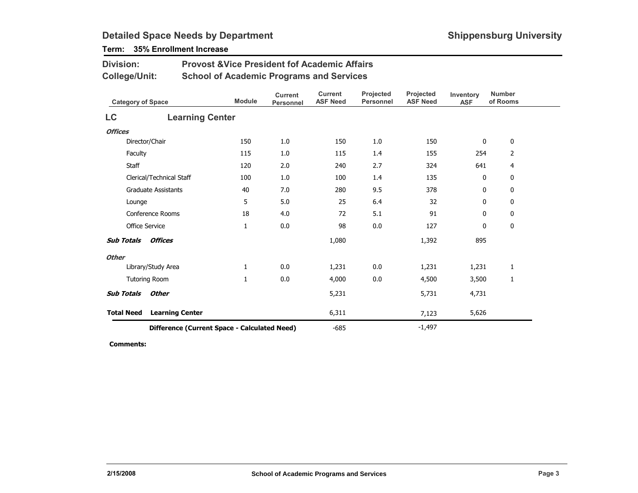## Term: 35% Enrollment Increase

Division:

| College/Unit:            |                                              | <b>School of Academic Programs and Services</b> |                             |                                   |                               |                              |                         |                           |
|--------------------------|----------------------------------------------|-------------------------------------------------|-----------------------------|-----------------------------------|-------------------------------|------------------------------|-------------------------|---------------------------|
| <b>Category of Space</b> |                                              | <b>Module</b>                                   | <b>Current</b><br>Personnel | <b>Current</b><br><b>ASF Need</b> | Projected<br><b>Personnel</b> | Projected<br><b>ASF Need</b> | Inventory<br><b>ASF</b> | <b>Number</b><br>of Rooms |
| <b>LC</b>                | <b>Learning Center</b>                       |                                                 |                             |                                   |                               |                              |                         |                           |
| <b>Offices</b>           |                                              |                                                 |                             |                                   |                               |                              |                         |                           |
|                          | Director/Chair                               | 150                                             | 1.0                         | 150                               | 1.0                           | 150                          | 0                       | 0                         |
| Faculty                  |                                              | 115                                             | 1.0                         | 115                               | 1.4                           | 155                          | 254                     | $\overline{2}$            |
| <b>Staff</b>             |                                              | 120                                             | 2.0                         | 240                               | 2.7                           | 324                          | 641                     | 4                         |
|                          | Clerical/Technical Staff                     | 100                                             | 1.0                         | 100                               | 1.4                           | 135                          | 0                       | 0                         |
|                          | <b>Graduate Assistants</b>                   | 40                                              | 7.0                         | 280                               | 9.5                           | 378                          | 0                       | 0                         |
| Lounge                   |                                              | 5                                               | 5.0                         | 25                                | 6.4                           | 32                           | 0                       | 0                         |
|                          | Conference Rooms                             | 18                                              | 4.0                         | 72                                | 5.1                           | 91                           | 0                       | $\mathbf 0$               |
|                          | <b>Office Service</b>                        | 1                                               | 0.0                         | 98                                | 0.0                           | 127                          | 0                       | 0                         |
| <b>Sub Totals</b>        | <b>Offices</b>                               |                                                 |                             | 1,080                             |                               | 1,392                        | 895                     |                           |
| <b>Other</b>             |                                              |                                                 |                             |                                   |                               |                              |                         |                           |
|                          | Library/Study Area                           | 1                                               | 0.0                         | 1,231                             | 0.0                           | 1,231                        | 1,231                   | 1                         |
|                          | <b>Tutoring Room</b>                         | 1                                               | 0.0                         | 4,000                             | 0.0                           | 4,500                        | 3,500                   | 1                         |
| <b>Sub Totals</b>        | <b>Other</b>                                 |                                                 |                             | 5,231                             |                               | 5,731                        | 4,731                   |                           |
| <b>Total Need</b>        | <b>Learning Center</b>                       |                                                 |                             | 6,311                             |                               | 7,123                        | 5,626                   |                           |
|                          | Difference (Current Space - Calculated Need) |                                                 |                             | $-685$                            |                               | $-1,497$                     |                         |                           |

Provost &Vice President fof Academic Affairs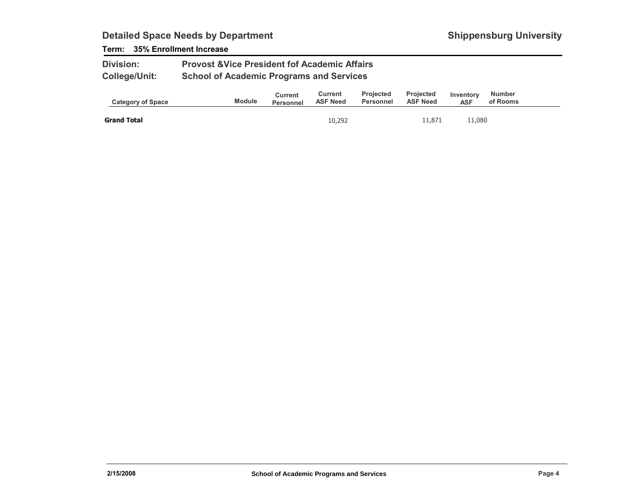### Term: 35% Enrollment Increase

| <b>Division:</b>     | <b>Provost &amp; Vice President fof Academic Affairs</b> |
|----------------------|----------------------------------------------------------|
| <b>College/Unit:</b> | <b>School of Academic Programs and Services</b>          |

| <b>Category of Space</b> | <b>Module</b> | Current<br><b>Personnel</b> | Current<br><b>ASF Need</b> | <b>Projected</b><br>Personnel | <b>Projected</b><br><b>ASF Need</b> | Inventory<br><b>ASF</b> | Number<br>of Rooms |
|--------------------------|---------------|-----------------------------|----------------------------|-------------------------------|-------------------------------------|-------------------------|--------------------|
| <b>Grand Total</b>       |               |                             | 10,292                     |                               | 11,871                              | 11,080                  |                    |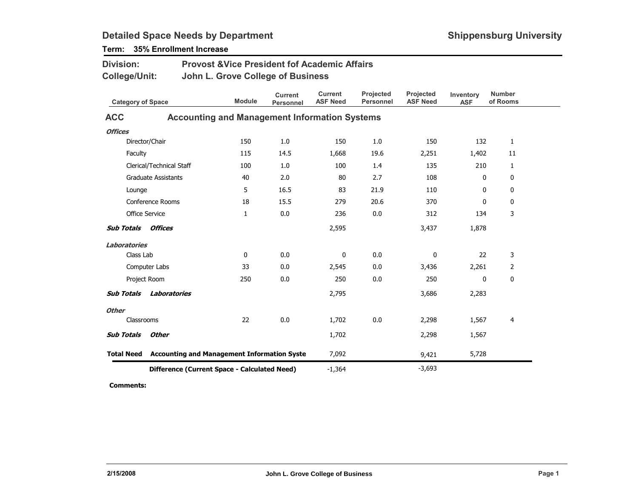| <b>Division:</b>         |                                | <b>Provost &amp; Vice President fof Academic Affairs</b>      |                                    |                                   |                               |                              |                         |                           |
|--------------------------|--------------------------------|---------------------------------------------------------------|------------------------------------|-----------------------------------|-------------------------------|------------------------------|-------------------------|---------------------------|
| <b>College/Unit:</b>     |                                | John L. Grove College of Business                             |                                    |                                   |                               |                              |                         |                           |
| <b>Category of Space</b> |                                | <b>Module</b>                                                 | <b>Current</b><br><b>Personnel</b> | <b>Current</b><br><b>ASF Need</b> | Projected<br><b>Personnel</b> | Projected<br><b>ASF Need</b> | Inventory<br><b>ASF</b> | <b>Number</b><br>of Rooms |
| <b>ACC</b>               |                                | <b>Accounting and Management Information Systems</b>          |                                    |                                   |                               |                              |                         |                           |
| <b>Offices</b>           |                                |                                                               |                                    |                                   |                               |                              |                         |                           |
|                          | Director/Chair                 | 150                                                           | 1.0                                | 150                               | 1.0                           | 150                          | 132                     | $\mathbf{1}$              |
| Faculty                  |                                | 115                                                           | 14.5                               | 1,668                             | 19.6                          | 2,251                        | 1,402                   | 11                        |
|                          | Clerical/Technical Staff       | 100                                                           | 1.0                                | 100                               | 1.4                           | 135                          | 210                     | $\mathbf{1}$              |
|                          | <b>Graduate Assistants</b>     | 40                                                            | 2.0                                | 80                                | 2.7                           | 108                          | 0                       | $\mathbf 0$               |
| Lounge                   |                                | 5                                                             | 16.5                               | 83                                | 21.9                          | 110                          | $\mathbf 0$             | 0                         |
|                          | Conference Rooms               | 18                                                            | 15.5                               | 279                               | 20.6                          | 370                          | $\mathbf{0}$            | 0                         |
|                          | <b>Office Service</b>          | $\mathbf{1}$                                                  | 0.0                                | 236                               | 0.0                           | 312                          | 134                     | 3                         |
| <b>Sub Totals</b>        | Offices                        |                                                               |                                    | 2,595                             |                               | 3,437                        | 1,878                   |                           |
| <b>Laboratories</b>      |                                |                                                               |                                    |                                   |                               |                              |                         |                           |
| Class Lab                |                                | 0                                                             | 0.0                                | 0                                 | 0.0                           | 0                            | 22                      | 3                         |
|                          | Computer Labs                  | 33                                                            | 0.0                                | 2,545                             | 0.0                           | 3,436                        | 2,261                   | 2                         |
|                          | Project Room                   | 250                                                           | 0.0                                | 250                               | 0.0                           | 250                          | 0                       | $\bf{0}$                  |
|                          | <b>Sub Totals Laboratories</b> |                                                               |                                    | 2,795                             |                               | 3,686                        | 2,283                   |                           |
| <b>Other</b>             |                                |                                                               |                                    |                                   |                               |                              |                         |                           |
| Classrooms               |                                | 22                                                            | 0.0                                | 1,702                             | 0.0                           | 2,298                        | 1,567                   | 4                         |
| <b>Sub Totals</b>        | <b>Other</b>                   |                                                               |                                    | 1,702                             |                               | 2,298                        | 1,567                   |                           |
|                          |                                | <b>Total Need</b> Accounting and Management Information Syste |                                    | 7,092                             |                               | 9,421                        | 5,728                   |                           |
|                          |                                | Difference (Current Space - Calculated Need)                  | $-1,364$                           |                                   | $-3,693$                      |                              |                         |                           |

Term: 35% Enrollment Increase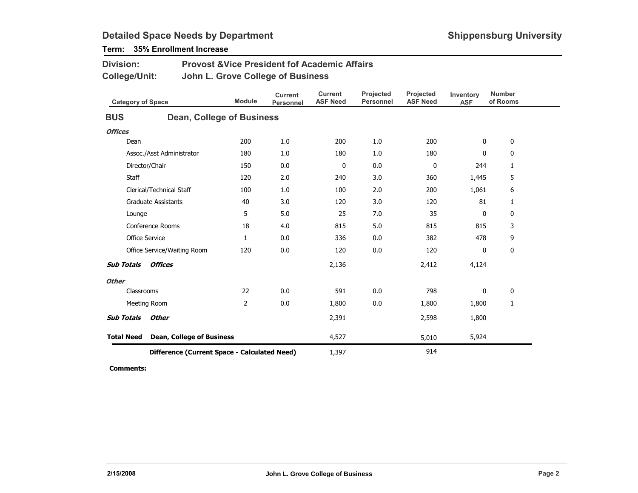| <b>Division:</b><br><b>Provost &amp; Vice President fof Academic Affairs</b><br><b>College/Unit:</b><br>John L. Grove College of Business |                                  |                                              |                                    |                                   |                               |                              |                         |                           |
|-------------------------------------------------------------------------------------------------------------------------------------------|----------------------------------|----------------------------------------------|------------------------------------|-----------------------------------|-------------------------------|------------------------------|-------------------------|---------------------------|
| <b>Category of Space</b>                                                                                                                  |                                  | <b>Module</b>                                | <b>Current</b><br><b>Personnel</b> | <b>Current</b><br><b>ASF Need</b> | Projected<br><b>Personnel</b> | Projected<br><b>ASF Need</b> | Inventory<br><b>ASF</b> | <b>Number</b><br>of Rooms |
| <b>BUS</b>                                                                                                                                |                                  | <b>Dean, College of Business</b>             |                                    |                                   |                               |                              |                         |                           |
| <b>Offices</b>                                                                                                                            |                                  |                                              |                                    |                                   |                               |                              |                         |                           |
| Dean                                                                                                                                      |                                  | 200                                          | 1.0                                | 200                               | 1.0                           | 200                          | $\mathbf 0$             | 0                         |
|                                                                                                                                           | Assoc./Asst Administrator        | 180                                          | 1.0                                | 180                               | 1.0                           | 180                          | 0                       | 0                         |
|                                                                                                                                           | Director/Chair                   | 150                                          | 0.0                                | $\mathbf 0$                       | 0.0                           | 0                            | 244                     | 1                         |
| Staff                                                                                                                                     |                                  | 120                                          | 2.0                                | 240                               | 3.0                           | 360                          | 1,445                   | 5                         |
|                                                                                                                                           | Clerical/Technical Staff         | 100                                          | 1.0                                | 100                               | 2.0                           | 200                          | 1,061                   | 6                         |
|                                                                                                                                           | <b>Graduate Assistants</b>       | 40                                           | 3.0                                | 120                               | 3.0                           | 120                          | 81                      | 1                         |
| Lounge                                                                                                                                    |                                  | 5                                            | 5.0                                | 25                                | 7.0                           | 35                           | 0                       | $\mathbf 0$               |
|                                                                                                                                           | Conference Rooms                 | 18                                           | 4.0                                | 815                               | 5.0                           | 815                          | 815                     | 3                         |
| <b>Office Service</b>                                                                                                                     |                                  | $\mathbf{1}$                                 | 0.0                                | 336                               | 0.0                           | 382                          | 478                     | 9                         |
|                                                                                                                                           | Office Service/Waiting Room      | 120                                          | 0.0                                | 120                               | 0.0                           | 120                          | 0                       | 0                         |
| <b>Sub Totals</b>                                                                                                                         | <b>Offices</b>                   |                                              |                                    | 2,136                             |                               | 2,412                        | 4,124                   |                           |
| <b>Other</b>                                                                                                                              |                                  |                                              |                                    |                                   |                               |                              |                         |                           |
| Classrooms                                                                                                                                |                                  | 22                                           | 0.0                                | 591                               | 0.0                           | 798                          | 0                       | 0                         |
|                                                                                                                                           | Meeting Room                     | $\overline{2}$                               | 0.0                                | 1,800                             | 0.0                           | 1,800                        | 1,800                   | $\mathbf{1}$              |
| <b>Sub Totals</b>                                                                                                                         | <b>Other</b>                     |                                              |                                    | 2,391                             |                               | 2,598                        | 1,800                   |                           |
| <b>Total Need</b>                                                                                                                         | <b>Dean, College of Business</b> |                                              |                                    | 4,527                             |                               | 5,010                        | 5,924                   |                           |
|                                                                                                                                           |                                  | Difference (Current Space - Calculated Need) |                                    | 1,397                             |                               | 914                          |                         |                           |

Term: 35% Enrollment Increase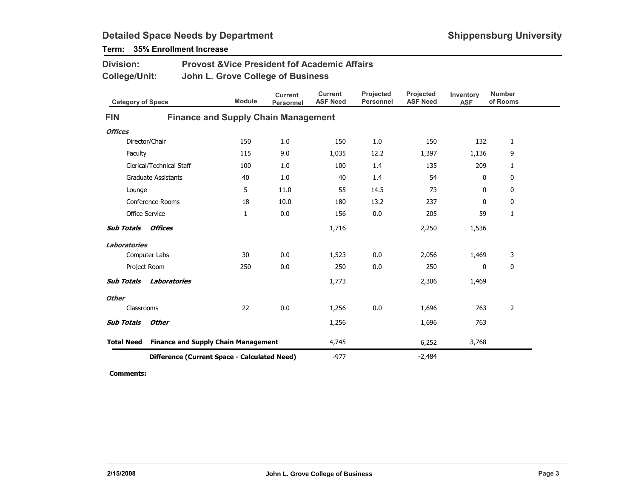| <b>Division:</b><br>College/Unit: |                            |                                              | <b>Provost &amp; Vice President fof Academic Affairs</b><br>John L. Grove College of Business |                                   |                               |                                     |                         |                           |  |  |
|-----------------------------------|----------------------------|----------------------------------------------|-----------------------------------------------------------------------------------------------|-----------------------------------|-------------------------------|-------------------------------------|-------------------------|---------------------------|--|--|
| <b>Category of Space</b>          |                            | <b>Module</b>                                | <b>Current</b><br><b>Personnel</b>                                                            | <b>Current</b><br><b>ASF Need</b> | Projected<br><b>Personnel</b> | <b>Projected</b><br><b>ASF Need</b> | Inventory<br><b>ASF</b> | <b>Number</b><br>of Rooms |  |  |
| <b>FIN</b>                        |                            | <b>Finance and Supply Chain Management</b>   |                                                                                               |                                   |                               |                                     |                         |                           |  |  |
| <b>Offices</b>                    |                            |                                              |                                                                                               |                                   |                               |                                     |                         |                           |  |  |
|                                   | Director/Chair             | 150                                          | 1.0                                                                                           | 150                               | 1.0                           | 150                                 | 132                     | $\mathbf{1}$              |  |  |
| Faculty                           |                            | 115                                          | 9.0                                                                                           | 1,035                             | 12.2                          | 1,397                               | 1,136                   | 9                         |  |  |
|                                   | Clerical/Technical Staff   | 100                                          | 1.0                                                                                           | 100                               | 1.4                           | 135                                 | 209                     | 1                         |  |  |
|                                   | <b>Graduate Assistants</b> | 40                                           | 1.0                                                                                           | 40                                | 1.4                           | 54                                  | $\mathbf{0}$            | 0                         |  |  |
| Lounge                            |                            | 5                                            | 11.0                                                                                          | 55                                | 14.5                          | 73                                  | 0                       | 0                         |  |  |
|                                   | Conference Rooms           | 18                                           | 10.0                                                                                          | 180                               | 13.2                          | 237                                 | $\mathbf{0}$            | $\mathbf{0}$              |  |  |
|                                   | <b>Office Service</b>      | $\mathbf{1}$                                 | 0.0                                                                                           | 156                               | 0.0                           | 205                                 | 59                      | $\mathbf{1}$              |  |  |
| <b>Sub Totals</b>                 | Offices                    |                                              |                                                                                               | 1,716                             |                               | 2,250                               | 1,536                   |                           |  |  |
| <b>Laboratories</b>               |                            |                                              |                                                                                               |                                   |                               |                                     |                         |                           |  |  |
|                                   | Computer Labs              | 30                                           | 0.0                                                                                           | 1,523                             | 0.0                           | 2,056                               | 1,469                   | 3                         |  |  |
| Project Room                      |                            | 250                                          | 0.0                                                                                           | 250                               | 0.0                           | 250                                 | $\mathbf{0}$            | 0                         |  |  |
| <b>Sub Totals</b>                 | Laboratories               |                                              |                                                                                               | 1,773                             |                               | 2,306                               | 1,469                   |                           |  |  |
| <b>Other</b>                      |                            |                                              |                                                                                               |                                   |                               |                                     |                         |                           |  |  |
| Classrooms                        |                            | 22                                           | 0.0                                                                                           | 1,256                             | 0.0                           | 1,696                               | 763                     | $\overline{2}$            |  |  |
| <b>Sub Totals</b>                 | <b>Other</b>               |                                              |                                                                                               | 1,256                             |                               | 1,696                               | 763                     |                           |  |  |
| <b>Total Need</b>                 |                            | <b>Finance and Supply Chain Management</b>   |                                                                                               | 4,745                             |                               | 6,252                               | 3,768                   |                           |  |  |
|                                   |                            | Difference (Current Space - Calculated Need) |                                                                                               | $-977$                            |                               | $-2,484$                            |                         |                           |  |  |

Term: 35% Enrollment Increase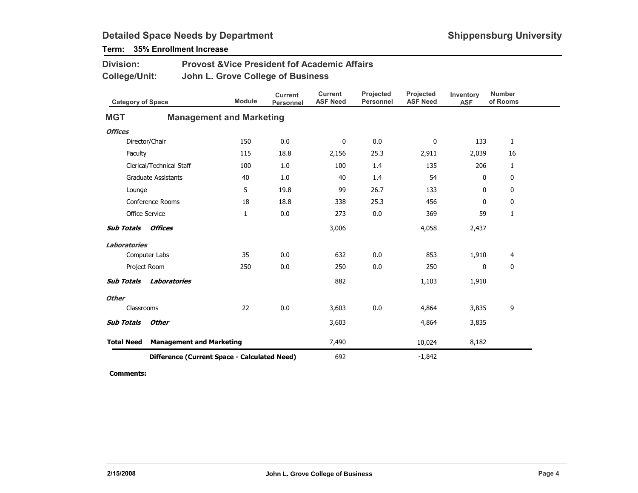Term: 35% Enrollment Increase

| <b>Division:</b><br><b>College/Unit:</b> |                                              | <b>Provost &amp; Vice President fof Academic Affairs</b><br>John L. Grove College of Business |                                    |                                   |                               |                              |                         |                           |  |  |
|------------------------------------------|----------------------------------------------|-----------------------------------------------------------------------------------------------|------------------------------------|-----------------------------------|-------------------------------|------------------------------|-------------------------|---------------------------|--|--|
| <b>Category of Space</b>                 |                                              | <b>Module</b>                                                                                 | <b>Current</b><br><b>Personnel</b> | <b>Current</b><br><b>ASF Need</b> | Projected<br><b>Personnel</b> | Projected<br><b>ASF Need</b> | Inventory<br><b>ASF</b> | <b>Number</b><br>of Rooms |  |  |
| <b>MGT</b>                               |                                              | <b>Management and Marketing</b>                                                               |                                    |                                   |                               |                              |                         |                           |  |  |
| <b>Offices</b>                           |                                              |                                                                                               |                                    |                                   |                               |                              |                         |                           |  |  |
|                                          | Director/Chair                               | 150                                                                                           | 0.0                                | 0                                 | 0.0                           | 0                            | 133                     | $\mathbf{1}$              |  |  |
| Faculty                                  |                                              | 115                                                                                           | 18.8                               | 2,156                             | 25.3                          | 2,911                        | 2,039                   | 16                        |  |  |
|                                          | Clerical/Technical Staff                     | 100                                                                                           | 1.0                                | 100                               | 1.4                           | 135                          | 206                     | $\mathbf{1}$              |  |  |
|                                          | <b>Graduate Assistants</b>                   | 40                                                                                            | 1.0                                | 40                                | 1.4                           | 54                           | 0                       | 0                         |  |  |
| Lounge                                   |                                              | 5                                                                                             | 19.8                               | 99                                | 26.7                          | 133                          | 0                       | 0                         |  |  |
|                                          | Conference Rooms                             | 18                                                                                            | 18.8                               | 338                               | 25.3                          | 456                          | 0                       | 0                         |  |  |
|                                          | <b>Office Service</b>                        | 1                                                                                             | 0.0                                | 273                               | 0.0                           | 369                          | 59                      | $\mathbf{1}$              |  |  |
| <b>Sub Totals</b>                        | Offices                                      |                                                                                               |                                    | 3,006                             |                               | 4,058                        | 2,437                   |                           |  |  |
| <b>Laboratories</b>                      |                                              |                                                                                               |                                    |                                   |                               |                              |                         |                           |  |  |
|                                          | Computer Labs                                | 35                                                                                            | 0.0                                | 632                               | 0.0                           | 853                          | 1,910                   | 4                         |  |  |
|                                          | Project Room                                 | 250                                                                                           | 0.0                                | 250                               | 0.0                           | 250                          | $\mathbf{0}$            | $\mathbf{0}$              |  |  |
| <b>Sub Totals</b>                        | Laboratories                                 |                                                                                               |                                    | 882                               |                               | 1,103                        | 1,910                   |                           |  |  |
| <b>Other</b>                             |                                              |                                                                                               |                                    |                                   |                               |                              |                         |                           |  |  |
| Classrooms                               |                                              | 22                                                                                            | 0.0                                | 3,603                             | 0.0                           | 4,864                        | 3,835                   | 9                         |  |  |
| <b>Sub Totals</b>                        | <b>Other</b>                                 |                                                                                               |                                    | 3,603                             |                               | 4,864                        | 3,835                   |                           |  |  |
| <b>Total Need</b>                        |                                              | <b>Management and Marketing</b>                                                               |                                    | 7,490                             |                               | 10,024                       | 8,182                   |                           |  |  |
|                                          | Difference (Current Space - Calculated Need) |                                                                                               |                                    |                                   |                               | $-1,842$                     |                         |                           |  |  |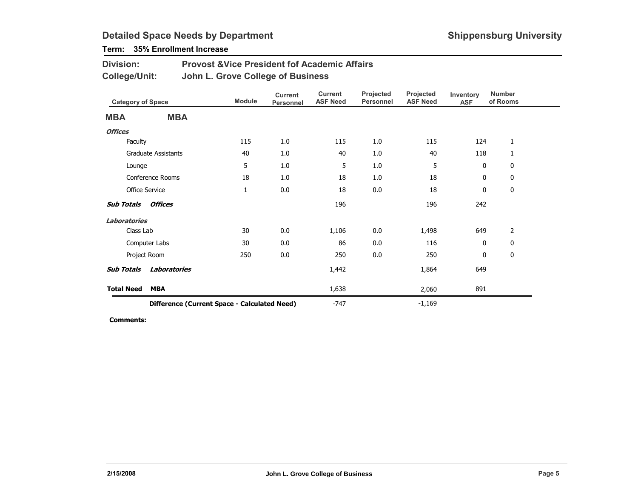## Term: 35% Enrollment Increase

| <b>Division:</b> | <b>Provost &amp; Vice President fof Academic Affairs</b> |
|------------------|----------------------------------------------------------|
| College/Unit:    | John L. Grove College of Business                        |

|                   | <b>Category of Space</b>                     |              | <b>Current</b><br>Personnel | <b>Current</b><br><b>ASF Need</b> | Projected<br><b>Personnel</b> | Projected<br><b>ASF Need</b> | Inventory<br><b>ASF</b> | <b>Number</b><br>of Rooms |
|-------------------|----------------------------------------------|--------------|-----------------------------|-----------------------------------|-------------------------------|------------------------------|-------------------------|---------------------------|
| <b>MBA</b>        | <b>MBA</b>                                   |              |                             |                                   |                               |                              |                         |                           |
| <b>Offices</b>    |                                              |              |                             |                                   |                               |                              |                         |                           |
| Faculty           |                                              | 115          | 1.0                         | 115                               | 1.0                           | 115                          | 124                     | 1                         |
|                   | <b>Graduate Assistants</b>                   | 40           | 1.0                         | 40                                | 1.0                           | 40                           | 118                     | 1                         |
| Lounge            |                                              | 5            | 1.0                         | 5                                 | 1.0                           | 5                            | $\mathbf 0$             | $\mathbf 0$               |
|                   | Conference Rooms                             | 18           | 1.0                         | 18                                | 1.0                           | 18                           | 0                       | 0                         |
|                   | <b>Office Service</b>                        | $\mathbf{1}$ | 0.0                         | 18                                | 0.0                           | 18                           | 0                       | 0                         |
| Sub Totals        | Offices                                      |              |                             | 196                               |                               | 196                          | 242                     |                           |
| Laboratories      |                                              |              |                             |                                   |                               |                              |                         |                           |
| Class Lab         |                                              | 30           | 0.0                         | 1,106                             | 0.0                           | 1,498                        | 649                     | $\overline{2}$            |
|                   | Computer Labs                                | 30           | 0.0                         | 86                                | 0.0                           | 116                          | $\mathbf 0$             | $\mathbf 0$               |
|                   | Project Room                                 | 250          | 0.0                         | 250                               | 0.0                           | 250                          | $\mathbf 0$             | $\mathbf 0$               |
| <b>Sub Totals</b> | <b>Laboratories</b>                          |              |                             | 1,442                             |                               | 1,864                        | 649                     |                           |
| <b>Total Need</b> | <b>MBA</b>                                   |              |                             | 1,638                             |                               | 2,060                        | 891                     |                           |
|                   | Difference (Current Space - Calculated Need) |              |                             | $-747$                            |                               | $-1,169$                     |                         |                           |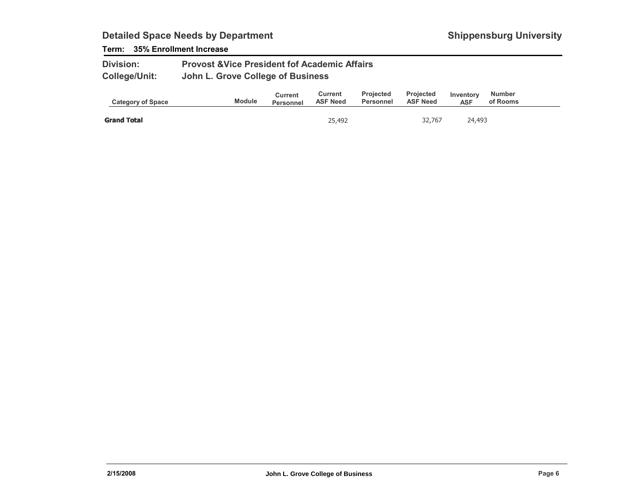### Term: 35% Enrollment Increase

| <b>Division:</b>     | <b>Provost &amp; Vice President fof Academic Affairs</b> |
|----------------------|----------------------------------------------------------|
| <b>College/Unit:</b> | John L. Grove College of Business                        |

| <b>Category of Space</b> | <b>Module</b> | Current<br><b>Personnel</b> | Current<br><b>ASF Need</b> | <b>Projected</b><br>Personnel | <b>Projected</b><br><b>ASF Need</b> | Inventory<br><b>ASF</b> | Number<br>of Rooms |
|--------------------------|---------------|-----------------------------|----------------------------|-------------------------------|-------------------------------------|-------------------------|--------------------|
| <b>Grand Total</b>       |               |                             | 25,492                     |                               | 32,767                              | 24,493                  |                    |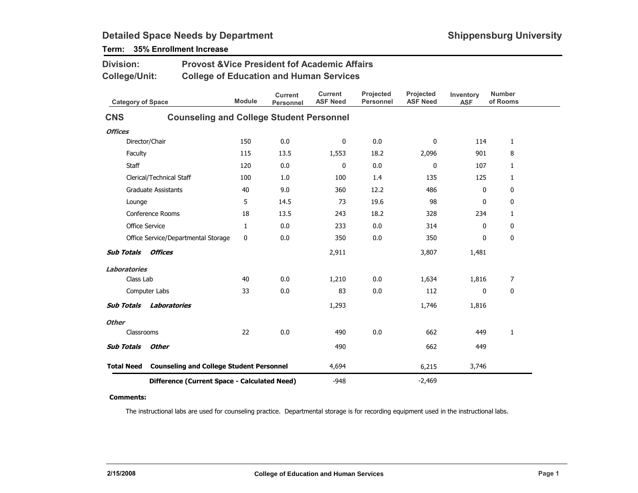| <b>Provost &amp; Vice President fof Academic Affairs</b><br><b>Division:</b> |                                                 |                                                |                                    |                                   |                               |                              |                         |                           |
|------------------------------------------------------------------------------|-------------------------------------------------|------------------------------------------------|------------------------------------|-----------------------------------|-------------------------------|------------------------------|-------------------------|---------------------------|
| <b>College/Unit:</b>                                                         |                                                 | <b>College of Education and Human Services</b> |                                    |                                   |                               |                              |                         |                           |
| <b>Category of Space</b>                                                     |                                                 | <b>Module</b>                                  | <b>Current</b><br><b>Personnel</b> | <b>Current</b><br><b>ASF Need</b> | Projected<br><b>Personnel</b> | Projected<br><b>ASF Need</b> | Inventory<br><b>ASF</b> | <b>Number</b><br>of Rooms |
| <b>CNS</b>                                                                   | <b>Counseling and College Student Personnel</b> |                                                |                                    |                                   |                               |                              |                         |                           |
| <b>Offices</b>                                                               |                                                 |                                                |                                    |                                   |                               |                              |                         |                           |
|                                                                              | Director/Chair                                  | 150                                            | 0.0                                | $\mathbf 0$                       | 0.0                           | 0                            | 114                     | 1                         |
| Faculty                                                                      |                                                 | 115                                            | 13.5                               | 1,553                             | 18.2                          | 2,096                        | 901                     | 8                         |
| <b>Staff</b>                                                                 |                                                 | 120                                            | 0.0                                | 0                                 | 0.0                           | 0                            | 107                     | $\mathbf{1}$              |
|                                                                              | Clerical/Technical Staff                        | 100                                            | 1.0                                | 100                               | 1.4                           | 135                          | 125                     | 1                         |
|                                                                              | <b>Graduate Assistants</b>                      | 40                                             | 9.0                                | 360                               | 12.2                          | 486                          | 0                       | 0                         |
| Lounge                                                                       |                                                 | 5                                              | 14.5                               | 73                                | 19.6                          | 98                           | 0                       | 0                         |
|                                                                              | Conference Rooms                                | 18                                             | 13.5                               | 243                               | 18.2                          | 328                          | 234                     | 1                         |
| <b>Office Service</b>                                                        |                                                 | $\mathbf{1}$                                   | 0.0                                | 233                               | 0.0                           | 314                          | 0                       | 0                         |
|                                                                              | Office Service/Departmental Storage             | 0                                              | 0.0                                | 350                               | 0.0                           | 350                          | 0                       | 0                         |
| <b>Sub Totals</b>                                                            | <b>Offices</b>                                  |                                                |                                    | 2,911                             |                               | 3,807                        | 1,481                   |                           |
| <b>Laboratories</b>                                                          |                                                 |                                                |                                    |                                   |                               |                              |                         |                           |
| Class Lab                                                                    |                                                 | 40                                             | 0.0                                | 1,210                             | 0.0                           | 1,634                        | 1,816                   | 7                         |
|                                                                              | Computer Labs                                   | 33                                             | 0.0                                | 83                                | 0.0                           | 112                          | $\mathbf{0}$            | $\mathbf 0$               |
| <b>Sub Totals</b>                                                            | Laboratories                                    |                                                |                                    | 1,293                             |                               | 1,746                        | 1,816                   |                           |
| <b>Other</b>                                                                 |                                                 |                                                |                                    |                                   |                               |                              |                         |                           |
| Classrooms                                                                   |                                                 | 22                                             | 0.0                                | 490                               | 0.0                           | 662                          | 449                     | 1                         |
| <b>Sub Totals</b>                                                            | <b>Other</b>                                    |                                                |                                    | 490                               |                               | 662                          | 449                     |                           |
| <b>Total Need</b>                                                            | <b>Counseling and College Student Personnel</b> |                                                |                                    | 4,694                             |                               | 6,215                        | 3,746                   |                           |
|                                                                              | Difference (Current Space - Calculated Need)    |                                                |                                    | $-948$                            |                               | $-2,469$                     |                         |                           |

## Term: 35% Enrollment Increase

#### Comments:

The instructional labs are used for counseling practice. Departmental storage is for recording equipment used in the instructional labs.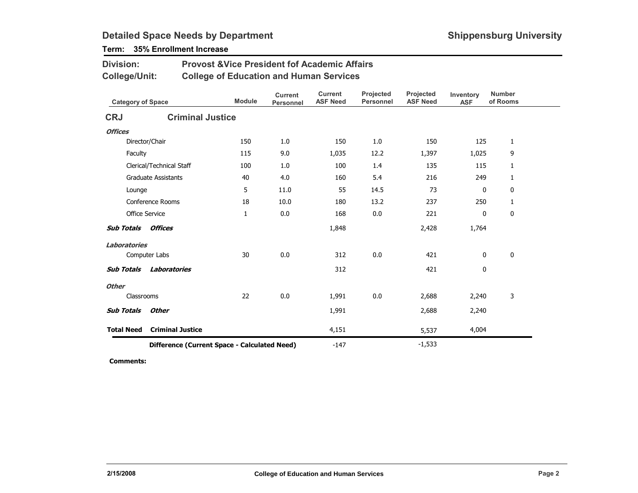### Term: 35% Enrollment Increase

| <b>Division:</b>          | <b>Provost &amp; Vice President fof Academic Affairs</b> |                                                |                                    |                                   |                               |                              |                         |                           |  |  |  |  |
|---------------------------|----------------------------------------------------------|------------------------------------------------|------------------------------------|-----------------------------------|-------------------------------|------------------------------|-------------------------|---------------------------|--|--|--|--|
| <b>College/Unit:</b>      |                                                          | <b>College of Education and Human Services</b> |                                    |                                   |                               |                              |                         |                           |  |  |  |  |
| <b>Category of Space</b>  |                                                          | <b>Module</b>                                  | <b>Current</b><br><b>Personnel</b> | <b>Current</b><br><b>ASF Need</b> | Projected<br><b>Personnel</b> | Projected<br><b>ASF Need</b> | Inventory<br><b>ASF</b> | <b>Number</b><br>of Rooms |  |  |  |  |
| <b>CRJ</b>                |                                                          | <b>Criminal Justice</b>                        |                                    |                                   |                               |                              |                         |                           |  |  |  |  |
| <b>Offices</b>            |                                                          |                                                |                                    |                                   |                               |                              |                         |                           |  |  |  |  |
| Director/Chair            |                                                          | 150                                            | 1.0                                | 150                               | 1.0                           | 150                          | 125                     | $\mathbf{1}$              |  |  |  |  |
| Faculty                   |                                                          | 115                                            | 9.0                                | 1,035                             | 12.2                          | 1,397                        | 1,025                   | 9                         |  |  |  |  |
|                           | Clerical/Technical Staff                                 | 100                                            | 1.0                                | 100                               | 1.4                           | 135                          | 115                     | $\mathbf{1}$              |  |  |  |  |
|                           | <b>Graduate Assistants</b>                               | 40                                             | 4.0                                | 160                               | 5.4                           | 216                          | 249                     | $\mathbf{1}$              |  |  |  |  |
| Lounge                    |                                                          | 5                                              | 11.0                               | 55                                | 14.5                          | 73                           | 0                       | 0                         |  |  |  |  |
|                           | Conference Rooms                                         | 18                                             | 10.0                               | 180                               | 13.2                          | 237                          | 250                     | 1                         |  |  |  |  |
| <b>Office Service</b>     |                                                          | $\mathbf{1}$                                   | 0.0                                | 168                               | 0.0                           | 221                          | 0                       | 0                         |  |  |  |  |
| <b>Sub Totals Offices</b> |                                                          |                                                |                                    | 1,848                             |                               | 2,428                        | 1,764                   |                           |  |  |  |  |
| <b>Laboratories</b>       |                                                          |                                                |                                    |                                   |                               |                              |                         |                           |  |  |  |  |
| Computer Labs             |                                                          | 30                                             | 0.0                                | 312                               | 0.0                           | 421                          | 0                       | $\mathbf 0$               |  |  |  |  |
| <b>Sub Totals</b>         | Laboratories                                             |                                                |                                    | 312                               |                               | 421                          | 0                       |                           |  |  |  |  |
| <b>Other</b>              |                                                          |                                                |                                    |                                   |                               |                              |                         |                           |  |  |  |  |
| Classrooms                |                                                          | 22                                             | 0.0                                | 1,991                             | 0.0                           | 2,688                        | 2,240                   | 3                         |  |  |  |  |
| <b>Sub Totals</b>         | <b>Other</b>                                             |                                                |                                    | 1,991                             |                               | 2,688                        | 2,240                   |                           |  |  |  |  |
| <b>Total Need</b>         | <b>Criminal Justice</b>                                  |                                                |                                    | 4,151                             |                               | 5,537                        | 4,004                   |                           |  |  |  |  |
|                           |                                                          | Difference (Current Space - Calculated Need)   |                                    | $-147$                            |                               | $-1,533$                     |                         |                           |  |  |  |  |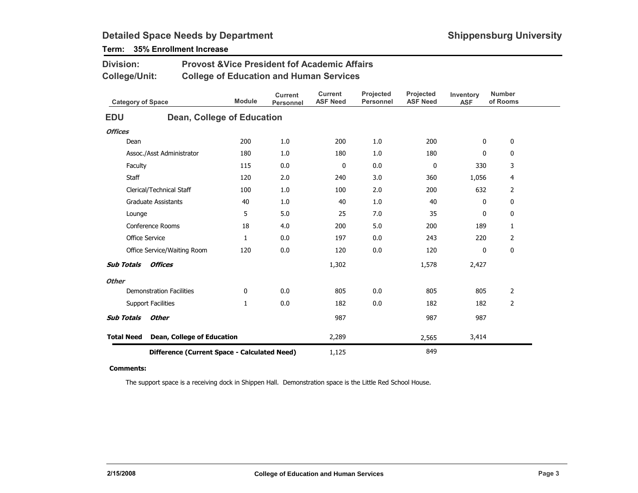| Division:                | <b>Provost &amp; Vice President fof Academic Affairs</b><br><b>College/Unit:</b><br><b>College of Education and Human Services</b> |                                              |                                    |                                   |                               |                              |                         |                           |  |
|--------------------------|------------------------------------------------------------------------------------------------------------------------------------|----------------------------------------------|------------------------------------|-----------------------------------|-------------------------------|------------------------------|-------------------------|---------------------------|--|
| <b>Category of Space</b> |                                                                                                                                    | <b>Module</b>                                | <b>Current</b><br><b>Personnel</b> | <b>Current</b><br><b>ASF Need</b> | Projected<br><b>Personnel</b> | Projected<br><b>ASF Need</b> | Inventory<br><b>ASF</b> | <b>Number</b><br>of Rooms |  |
| <b>EDU</b>               |                                                                                                                                    | Dean, College of Education                   |                                    |                                   |                               |                              |                         |                           |  |
| <b>Offices</b>           |                                                                                                                                    |                                              |                                    |                                   |                               |                              |                         |                           |  |
| Dean                     |                                                                                                                                    | 200                                          | 1.0                                | 200                               | 1.0                           | 200                          | 0                       | 0                         |  |
|                          | Assoc./Asst Administrator                                                                                                          | 180                                          | 1.0                                | 180                               | 1.0                           | 180                          | 0                       | 0                         |  |
| Faculty                  |                                                                                                                                    | 115                                          | 0.0                                | 0                                 | 0.0                           | $\mathbf 0$                  | 330                     | 3                         |  |
| Staff                    |                                                                                                                                    | 120                                          | 2.0                                | 240                               | 3.0                           | 360                          | 1,056                   | 4                         |  |
|                          | Clerical/Technical Staff                                                                                                           | 100                                          | 1.0                                | 100                               | 2.0                           | 200                          | 632                     | $\overline{2}$            |  |
|                          | <b>Graduate Assistants</b>                                                                                                         | 40                                           | 1.0                                | 40                                | 1.0                           | 40                           | 0                       | 0                         |  |
| Lounge                   |                                                                                                                                    | 5                                            | 5.0                                | 25                                | 7.0                           | 35                           | 0                       | 0                         |  |
|                          | Conference Rooms                                                                                                                   | 18                                           | 4.0                                | 200                               | 5.0                           | 200                          | 189                     | $\mathbf{1}$              |  |
|                          | <b>Office Service</b>                                                                                                              | $\mathbf{1}$                                 | 0.0                                | 197                               | 0.0                           | 243                          | 220                     | $\overline{2}$            |  |
|                          | Office Service/Waiting Room                                                                                                        | 120                                          | 0.0                                | 120                               | 0.0                           | 120                          | 0                       | 0                         |  |
| <b>Sub Totals</b>        | <b>Offices</b>                                                                                                                     |                                              |                                    | 1,302                             |                               | 1,578                        | 2,427                   |                           |  |
| <b>Other</b>             |                                                                                                                                    |                                              |                                    |                                   |                               |                              |                         |                           |  |
|                          | <b>Demonstration Facilities</b>                                                                                                    | 0                                            | 0.0                                | 805                               | 0.0                           | 805                          | 805                     | 2                         |  |
|                          | <b>Support Facilities</b>                                                                                                          | $\mathbf{1}$                                 | 0.0                                | 182                               | 0.0                           | 182                          | 182                     | 2                         |  |
| <b>Sub Totals</b>        | Other                                                                                                                              |                                              |                                    | 987                               |                               | 987                          | 987                     |                           |  |
| <b>Total Need</b>        | Dean, College of Education                                                                                                         |                                              |                                    | 2,289                             |                               | 2,565                        | 3,414                   |                           |  |
|                          |                                                                                                                                    | Difference (Current Space - Calculated Need) |                                    | 1,125                             |                               | 849                          |                         |                           |  |

## Term: 35% Enrollment Increase

#### Comments:

The support space is a receiving dock in Shippen Hall. Demonstration space is the Little Red School House.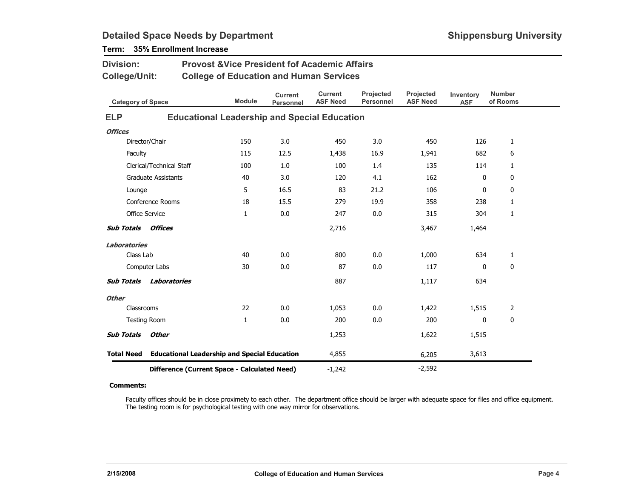| <b>Division:</b>         |                                                     | <b>Provost &amp; Vice President fof Academic Affairs</b> |                                    |                                   |                               |                              |                         |                           |
|--------------------------|-----------------------------------------------------|----------------------------------------------------------|------------------------------------|-----------------------------------|-------------------------------|------------------------------|-------------------------|---------------------------|
| <b>College/Unit:</b>     |                                                     | <b>College of Education and Human Services</b>           |                                    |                                   |                               |                              |                         |                           |
| <b>Category of Space</b> |                                                     | <b>Module</b>                                            | <b>Current</b><br><b>Personnel</b> | <b>Current</b><br><b>ASF Need</b> | Projected<br><b>Personnel</b> | Projected<br><b>ASF Need</b> | Inventory<br><b>ASF</b> | <b>Number</b><br>of Rooms |
| <b>ELP</b>               |                                                     | <b>Educational Leadership and Special Education</b>      |                                    |                                   |                               |                              |                         |                           |
| <b>Offices</b>           |                                                     |                                                          |                                    |                                   |                               |                              |                         |                           |
|                          | Director/Chair                                      | 150                                                      | 3.0                                | 450                               | 3.0                           | 450                          | 126                     | $\mathbf{1}$              |
| Faculty                  |                                                     | 115                                                      | 12.5                               | 1,438                             | 16.9                          | 1,941                        | 682                     | 6                         |
|                          | Clerical/Technical Staff                            | 100                                                      | 1.0                                | 100                               | 1.4                           | 135                          | 114                     | 1                         |
|                          | <b>Graduate Assistants</b>                          | 40                                                       | 3.0                                | 120                               | 4.1                           | 162                          | 0                       | 0                         |
| Lounge                   |                                                     | 5                                                        | 16.5                               | 83                                | 21.2                          | 106                          | 0                       | 0                         |
|                          | Conference Rooms                                    | 18                                                       | 15.5                               | 279                               | 19.9                          | 358                          | 238                     | 1                         |
|                          | Office Service                                      | 1                                                        | 0.0                                | 247                               | 0.0                           | 315                          | 304                     | 1                         |
| <b>Sub Totals</b>        | Offices                                             |                                                          |                                    | 2,716                             |                               | 3,467                        | 1,464                   |                           |
| <b>Laboratories</b>      |                                                     |                                                          |                                    |                                   |                               |                              |                         |                           |
| Class Lab                |                                                     | 40                                                       | 0.0                                | 800                               | 0.0                           | 1,000                        | 634                     | $\mathbf{1}$              |
|                          | Computer Labs                                       | 30                                                       | 0.0                                | 87                                | 0.0                           | 117                          | 0                       | 0                         |
| <b>Sub Totals</b>        | Laboratories                                        |                                                          |                                    | 887                               |                               | 1,117                        | 634                     |                           |
| <b>Other</b>             |                                                     |                                                          |                                    |                                   |                               |                              |                         |                           |
| Classrooms               |                                                     | 22                                                       | 0.0                                | 1,053                             | 0.0                           | 1,422                        | 1,515                   | $\overline{2}$            |
|                          | <b>Testing Room</b>                                 | 1                                                        | 0.0                                | 200                               | 0.0                           | 200                          | 0                       | 0                         |
| <b>Sub Totals</b>        | <b>Other</b>                                        |                                                          |                                    | 1,253                             |                               | 1,622                        | 1,515                   |                           |
| <b>Total Need</b>        | <b>Educational Leadership and Special Education</b> |                                                          |                                    | 4,855                             |                               | 6,205                        | 3,613                   |                           |
|                          | Difference (Current Space - Calculated Need)        |                                                          | $-1,242$                           |                                   | $-2,592$                      |                              |                         |                           |

## Term: 35% Enrollment Increase

#### Comments:

Faculty offices should be in close proximety to each other. The department office should be larger with adequate space for files and office equipment. The testing room is for psychological testing with one way mirror for observations.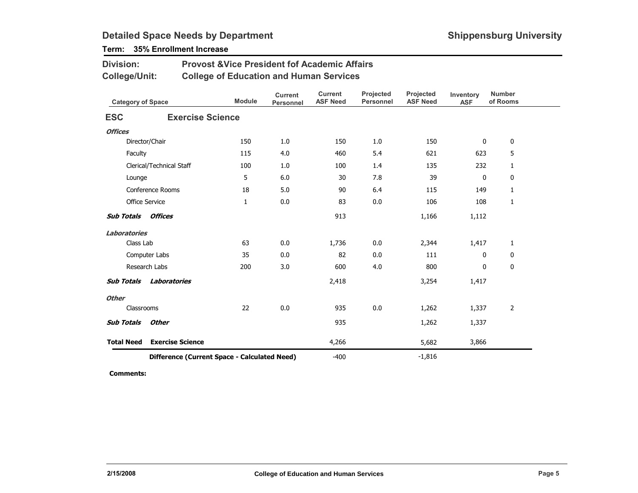### Term: 35% Enrollment Increase

Division:

| <b>College/Unit:</b>      |                                              | <b>College of Education and Human Services</b> |                             |                                   |                               |                              |                         |                           |
|---------------------------|----------------------------------------------|------------------------------------------------|-----------------------------|-----------------------------------|-------------------------------|------------------------------|-------------------------|---------------------------|
| <b>Category of Space</b>  |                                              | <b>Module</b>                                  | <b>Current</b><br>Personnel | <b>Current</b><br><b>ASF Need</b> | Projected<br><b>Personnel</b> | Projected<br><b>ASF Need</b> | Inventory<br><b>ASF</b> | <b>Number</b><br>of Rooms |
| <b>ESC</b>                | <b>Exercise Science</b>                      |                                                |                             |                                   |                               |                              |                         |                           |
| <b>Offices</b>            |                                              |                                                |                             |                                   |                               |                              |                         |                           |
|                           | Director/Chair                               | 150                                            | 1.0                         | 150                               | 1.0                           | 150                          | 0                       | 0                         |
| Faculty                   |                                              | 115                                            | 4.0                         | 460                               | 5.4                           | 621                          | 623                     | 5                         |
|                           | Clerical/Technical Staff                     | 100                                            | 1.0                         | 100                               | 1.4                           | 135                          | 232                     | $\mathbf{1}$              |
| Lounge                    |                                              | 5                                              | 6.0                         | 30                                | 7.8                           | 39                           | 0                       | 0                         |
|                           | Conference Rooms                             | 18                                             | 5.0                         | 90                                | 6.4                           | 115                          | 149                     | $\mathbf{1}$              |
| Office Service            |                                              | $\mathbf{1}$                                   | 0.0                         | 83                                | 0.0                           | 106                          | 108                     | $\mathbf{1}$              |
| <b>Sub Totals Offices</b> |                                              |                                                |                             | 913                               |                               | 1,166                        | 1,112                   |                           |
| <b>Laboratories</b>       |                                              |                                                |                             |                                   |                               |                              |                         |                           |
| Class Lab                 |                                              | 63                                             | 0.0                         | 1,736                             | 0.0                           | 2,344                        | 1,417                   | $\mathbf{1}$              |
|                           | Computer Labs                                | 35                                             | 0.0                         | 82                                | 0.0                           | 111                          | 0                       | 0                         |
|                           | Research Labs                                | 200                                            | 3.0                         | 600                               | 4.0                           | 800                          | 0                       | 0                         |
| <b>Sub Totals</b>         | Laboratories                                 |                                                |                             | 2,418                             |                               | 3,254                        | 1,417                   |                           |
| <b>Other</b>              |                                              |                                                |                             |                                   |                               |                              |                         |                           |
| Classrooms                |                                              | 22                                             | 0.0                         | 935                               | $0.0\,$                       | 1,262                        | 1,337                   | $\overline{2}$            |
| <b>Sub Totals</b>         | <b>Other</b>                                 |                                                |                             | 935                               |                               | 1,262                        | 1,337                   |                           |
| <b>Total Need</b>         | <b>Exercise Science</b>                      |                                                |                             | 4,266                             |                               | 5,682                        | 3,866                   |                           |
|                           | Difference (Current Space - Calculated Need) |                                                |                             | $-400$                            |                               | $-1,816$                     |                         |                           |

Provost &Vice President fof Academic Affairs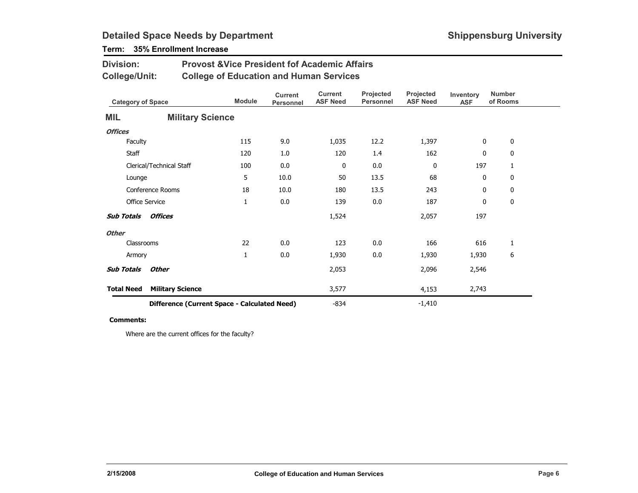## Term: 35% Enrollment Increase

| <b>Division:</b>             |                                                | <b>Provost &amp; Vice President fof Academic Affairs</b> |                                    |                                   |                               |                                     |                         |                           |  |  |
|------------------------------|------------------------------------------------|----------------------------------------------------------|------------------------------------|-----------------------------------|-------------------------------|-------------------------------------|-------------------------|---------------------------|--|--|
| <b>College/Unit:</b>         | <b>College of Education and Human Services</b> |                                                          |                                    |                                   |                               |                                     |                         |                           |  |  |
| <b>Category of Space</b>     |                                                | <b>Module</b>                                            | <b>Current</b><br><b>Personnel</b> | <b>Current</b><br><b>ASF Need</b> | Projected<br><b>Personnel</b> | <b>Projected</b><br><b>ASF Need</b> | Inventory<br><b>ASF</b> | <b>Number</b><br>of Rooms |  |  |
| MIL                          | <b>Military Science</b>                        |                                                          |                                    |                                   |                               |                                     |                         |                           |  |  |
| <b>Offices</b>               |                                                |                                                          |                                    |                                   |                               |                                     |                         |                           |  |  |
| Faculty                      |                                                | 115                                                      | 9.0                                | 1,035                             | 12.2                          | 1,397                               | 0                       | 0                         |  |  |
| Staff                        |                                                | 120                                                      | 1.0                                | 120                               | 1.4                           | 162                                 | 0                       | 0                         |  |  |
| Clerical/Technical Staff     |                                                | 100                                                      | 0.0                                | 0                                 | $0.0\,$                       | 0                                   | 197                     | 1                         |  |  |
| Lounge                       |                                                | 5                                                        | 10.0                               | 50                                | 13.5                          | 68                                  | 0                       | 0                         |  |  |
| Conference Rooms             |                                                | 18                                                       | 10.0                               | 180                               | 13.5                          | 243                                 | $\mathbf{0}$            | 0                         |  |  |
| <b>Office Service</b>        |                                                | 1                                                        | 0.0                                | 139                               | 0.0                           | 187                                 | 0                       | 0                         |  |  |
| Offices<br><b>Sub Totals</b> |                                                |                                                          |                                    | 1,524                             |                               | 2,057                               | 197                     |                           |  |  |
| <b>Other</b>                 |                                                |                                                          |                                    |                                   |                               |                                     |                         |                           |  |  |
| Classrooms                   |                                                | 22                                                       | 0.0                                | 123                               | 0.0                           | 166                                 | 616                     | 1                         |  |  |
| Armory                       |                                                | 1                                                        | 0.0                                | 1,930                             | 0.0                           | 1,930                               | 1,930                   | 6                         |  |  |
| <b>Sub Totals</b><br>Other   |                                                |                                                          |                                    | 2,053                             |                               | 2,096                               | 2,546                   |                           |  |  |
| <b>Total Need</b>            | <b>Military Science</b>                        |                                                          |                                    | 3,577                             |                               | 4,153                               | 2,743                   |                           |  |  |
|                              | Difference (Current Space - Calculated Need)   |                                                          |                                    | $-834$                            |                               | $-1,410$                            |                         |                           |  |  |

#### Comments:

Where are the current offices for the faculty?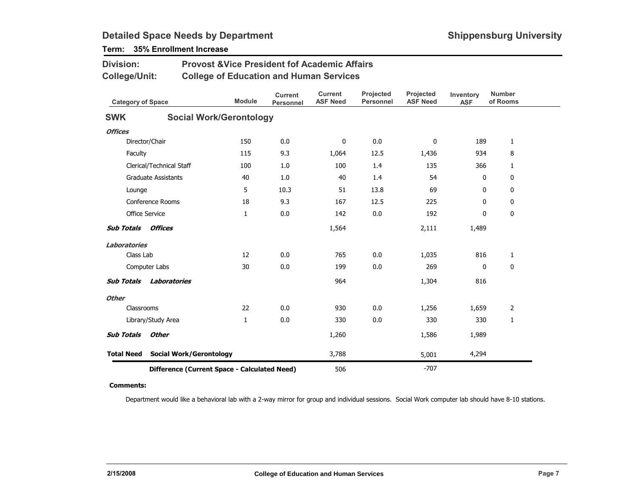| <b>Division:</b>         |                            | <b>Provost &amp;Vice President fof Academic Affairs</b> |                                    |                                   |                               |                              |                         |                           |  |  |  |
|--------------------------|----------------------------|---------------------------------------------------------|------------------------------------|-----------------------------------|-------------------------------|------------------------------|-------------------------|---------------------------|--|--|--|
| College/Unit:            |                            | <b>College of Education and Human Services</b>          |                                    |                                   |                               |                              |                         |                           |  |  |  |
| <b>Category of Space</b> |                            | <b>Module</b>                                           | <b>Current</b><br><b>Personnel</b> | <b>Current</b><br><b>ASF Need</b> | Projected<br><b>Personnel</b> | Projected<br><b>ASF Need</b> | Inventory<br><b>ASF</b> | <b>Number</b><br>of Rooms |  |  |  |
| <b>SWK</b>               |                            | <b>Social Work/Gerontology</b>                          |                                    |                                   |                               |                              |                         |                           |  |  |  |
| <b>Offices</b>           |                            |                                                         |                                    |                                   |                               |                              |                         |                           |  |  |  |
|                          | Director/Chair             | 150                                                     | 0.0                                | 0                                 | 0.0                           | $\mathbf{0}$                 | 189                     | $\mathbf{1}$              |  |  |  |
| Faculty                  |                            | 115                                                     | 9.3                                | 1,064                             | 12.5                          | 1,436                        | 934                     | 8                         |  |  |  |
|                          | Clerical/Technical Staff   | 100                                                     | 1.0                                | 100                               | 1.4                           | 135                          | 366                     | 1                         |  |  |  |
|                          | <b>Graduate Assistants</b> | 40                                                      | 1.0                                | 40                                | 1.4                           | 54                           | 0                       | $\mathbf 0$               |  |  |  |
| Lounge                   |                            | 5                                                       | 10.3                               | 51                                | 13.8                          | 69                           | 0                       | 0                         |  |  |  |
|                          | Conference Rooms           | 18                                                      | 9.3                                | 167                               | 12.5                          | 225                          | $\mathbf{0}$            | 0                         |  |  |  |
|                          | <b>Office Service</b>      | $\mathbf{1}$                                            | 0.0                                | 142                               | 0.0                           | 192                          | 0                       | 0                         |  |  |  |
| <b>Sub Totals</b>        | Offices                    |                                                         |                                    | 1,564                             |                               | 2,111                        | 1,489                   |                           |  |  |  |
| Laboratories             |                            |                                                         |                                    |                                   |                               |                              |                         |                           |  |  |  |
| Class Lab                |                            | 12                                                      | 0.0                                | 765                               | 0.0                           | 1,035                        | 816                     | $\mathbf{1}$              |  |  |  |
|                          | Computer Labs              | 30                                                      | 0.0                                | 199                               | 0.0                           | 269                          | $\mathbf{0}$            | 0                         |  |  |  |
| <b>Sub Totals</b>        | Laboratories               |                                                         |                                    | 964                               |                               | 1,304                        | 816                     |                           |  |  |  |
| <b>Other</b>             |                            |                                                         |                                    |                                   |                               |                              |                         |                           |  |  |  |
| Classrooms               |                            | 22                                                      | 0.0                                | 930                               | 0.0                           | 1,256                        | 1,659                   | 2                         |  |  |  |
|                          | Library/Study Area         | 1                                                       | 0.0                                | 330                               | 0.0                           | 330                          | 330                     | $\mathbf{1}$              |  |  |  |
| <b>Sub Totals</b>        | <b>Other</b>               |                                                         |                                    | 1,260                             |                               | 1,586                        | 1,989                   |                           |  |  |  |
| <b>Total Need</b>        |                            | <b>Social Work/Gerontology</b>                          |                                    | 3,788                             |                               | 5,001                        | 4,294                   |                           |  |  |  |
|                          |                            | Difference (Current Space - Calculated Need)            |                                    | 506                               |                               | $-707$                       |                         |                           |  |  |  |

## Term: 35% Enrollment Increase

#### Comments:

Department would like a behavioral lab with a 2-way mirror for group and individual sessions. Social Work computer lab should have 8-10 stations.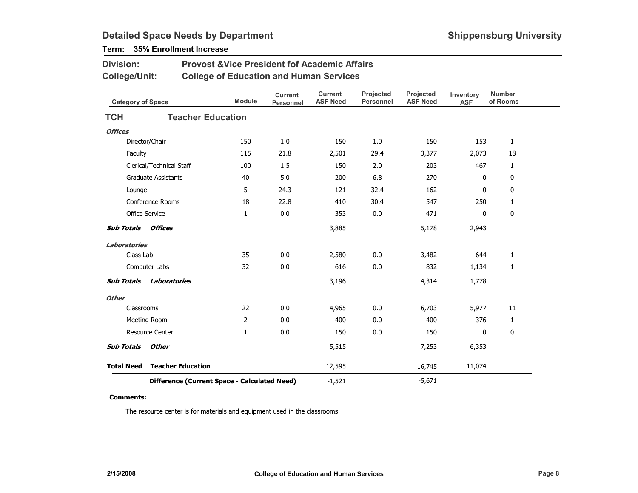### Term: 35% Enrollment Increase

Division:

| <b>College/Unit:</b>     |                                              |               | <b>College of Education and Human Services</b> |                                   |                               |                              |                         |                           |
|--------------------------|----------------------------------------------|---------------|------------------------------------------------|-----------------------------------|-------------------------------|------------------------------|-------------------------|---------------------------|
| <b>Category of Space</b> |                                              | <b>Module</b> | <b>Current</b><br>Personnel                    | <b>Current</b><br><b>ASF Need</b> | Projected<br><b>Personnel</b> | Projected<br><b>ASF Need</b> | Inventory<br><b>ASF</b> | <b>Number</b><br>of Rooms |
| <b>TCH</b>               | <b>Teacher Education</b>                     |               |                                                |                                   |                               |                              |                         |                           |
| <b>Offices</b>           |                                              |               |                                                |                                   |                               |                              |                         |                           |
|                          | Director/Chair                               | 150           | 1.0                                            | 150                               | 1.0                           | 150                          | 153                     | $\mathbf{1}$              |
| Faculty                  |                                              | 115           | 21.8                                           | 2,501                             | 29.4                          | 3,377                        | 2,073                   | 18                        |
|                          | Clerical/Technical Staff                     | 100           | 1.5                                            | 150                               | 2.0                           | 203                          | 467                     | $\mathbf{1}$              |
|                          | <b>Graduate Assistants</b>                   | 40            | 5.0                                            | 200                               | 6.8                           | 270                          | 0                       | 0                         |
| Lounge                   |                                              | 5             | 24.3                                           | 121                               | 32.4                          | 162                          | 0                       | 0                         |
|                          | <b>Conference Rooms</b>                      | 18            | 22.8                                           | 410                               | 30.4                          | 547                          | 250                     | $\mathbf{1}$              |
| Office Service           |                                              | 1             | 0.0                                            | 353                               | 0.0                           | 471                          | 0                       | $\mathbf 0$               |
| <b>Sub Totals</b>        | Offices                                      |               |                                                | 3,885                             |                               | 5,178                        | 2,943                   |                           |
| <b>Laboratories</b>      |                                              |               |                                                |                                   |                               |                              |                         |                           |
| Class Lab                |                                              | 35            | 0.0                                            | 2,580                             | 0.0                           | 3,482                        | 644                     | $\mathbf{1}$              |
|                          | Computer Labs                                | 32            | 0.0                                            | 616                               | 0.0                           | 832                          | 1,134                   | 1                         |
| <b>Sub Totals</b>        | Laboratories                                 |               |                                                | 3,196                             |                               | 4,314                        | 1,778                   |                           |
| <b>Other</b>             |                                              |               |                                                |                                   |                               |                              |                         |                           |
| Classrooms               |                                              | 22            | 0.0                                            | 4,965                             | 0.0                           | 6,703                        | 5,977                   | 11                        |
|                          | Meeting Room                                 | 2             | 0.0                                            | 400                               | 0.0                           | 400                          | 376                     | $\mathbf{1}$              |
|                          | <b>Resource Center</b>                       | 1             | 0.0                                            | 150                               | 0.0                           | 150                          | 0                       | $\boldsymbol{0}$          |
| <b>Sub Totals</b>        | <b>Other</b>                                 |               |                                                | 5,515                             |                               | 7,253                        | 6,353                   |                           |
| <b>Total Need</b>        | <b>Teacher Education</b>                     |               |                                                | 12,595                            |                               | 16,745                       | 11,074                  |                           |
|                          | Difference (Current Space - Calculated Need) |               |                                                | $-1,521$                          |                               | $-5,671$                     |                         |                           |

Provost &Vice President fof Academic Affairs

#### Comments:

The resource center is for materials and equipment used in the classrooms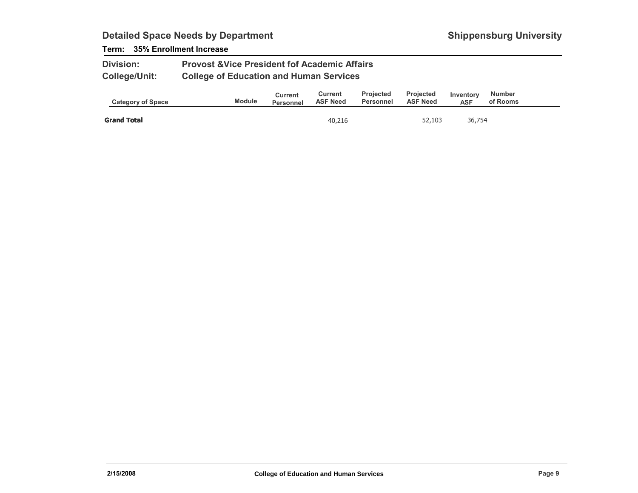### Term: 35% Enrollment Increase

| <b>Division:</b>     | <b>Provost &amp; Vice President fof Academic Affairs</b> |
|----------------------|----------------------------------------------------------|
| <b>College/Unit:</b> | <b>College of Education and Human Services</b>           |

| <b>Category of Space</b> | <b>Module</b> | Current<br><b>Personnel</b> | Current<br><b>ASF Need</b> | <b>Projected</b><br>Personnel | <b>Projected</b><br><b>ASF Need</b> | Inventory<br>ASF | <b>Number</b><br>of Rooms |  |
|--------------------------|---------------|-----------------------------|----------------------------|-------------------------------|-------------------------------------|------------------|---------------------------|--|
| <b>Grand Total</b>       |               |                             | 40,216                     |                               | 52,103                              | 36,754           |                           |  |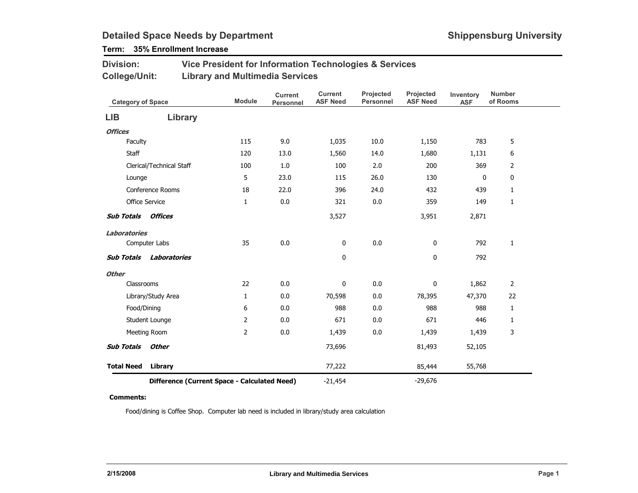## Term: 35% Enrollment Increase

| <b>Division:</b> | Vice President for Information Technologies & Services |
|------------------|--------------------------------------------------------|
| College/Unit:    | <b>Library and Multimedia Services</b>                 |

| <b>Category of Space</b> |                                              | <b>Module</b>  | <b>Current</b><br><b>Personnel</b> | <b>Current</b><br><b>ASF Need</b> | Projected<br><b>Personnel</b> | Projected<br><b>ASF Need</b> | Inventory<br><b>ASF</b> | <b>Number</b><br>of Rooms |
|--------------------------|----------------------------------------------|----------------|------------------------------------|-----------------------------------|-------------------------------|------------------------------|-------------------------|---------------------------|
| <b>LIB</b>               | Library                                      |                |                                    |                                   |                               |                              |                         |                           |
| <b>Offices</b>           |                                              |                |                                    |                                   |                               |                              |                         |                           |
| Faculty                  |                                              | 115            | 9.0                                | 1,035                             | 10.0                          | 1,150                        | 783                     | 5                         |
| Staff                    |                                              | 120            | 13.0                               | 1,560                             | 14.0                          | 1,680                        | 1,131                   | 6                         |
|                          | Clerical/Technical Staff                     | 100            | 1.0                                | 100                               | 2.0                           | 200                          | 369                     | 2                         |
| Lounge                   |                                              | 5              | 23.0                               | 115                               | 26.0                          | 130                          | 0                       | 0                         |
|                          | Conference Rooms                             | 18             | 22.0                               | 396                               | 24.0                          | 432                          | 439                     | $\mathbf{1}$              |
|                          | Office Service                               | $\mathbf{1}$   | 0.0                                | 321                               | 0.0                           | 359                          | 149                     | $\mathbf{1}$              |
| <b>Sub Totals</b>        | Offices                                      |                |                                    | 3,527                             |                               | 3,951                        | 2,871                   |                           |
| <b>Laboratories</b>      |                                              |                |                                    |                                   |                               |                              |                         |                           |
|                          | Computer Labs                                | 35             | 0.0                                | $\bf{0}$                          | 0.0                           | 0                            | 792                     | $\mathbf{1}$              |
| <b>Sub Totals</b>        | Laboratories                                 |                |                                    | 0                                 |                               | 0                            | 792                     |                           |
| <b>Other</b>             |                                              |                |                                    |                                   |                               |                              |                         |                           |
| Classrooms               |                                              | 22             | 0.0                                | 0                                 | $0.0\,$                       | $\pmb{0}$                    | 1,862                   | 2                         |
|                          | Library/Study Area                           | $\mathbf{1}$   | 0.0                                | 70,598                            | $0.0\,$                       | 78,395                       | 47,370                  | 22                        |
|                          | Food/Dining                                  | 6              | 0.0                                | 988                               | 0.0                           | 988                          | 988                     | $\mathbf{1}$              |
|                          | Student Lounge                               | $\overline{2}$ | 0.0                                | 671                               | 0.0                           | 671                          | 446                     | 1                         |
|                          | Meeting Room                                 | $\overline{2}$ | 0.0                                | 1,439                             | 0.0                           | 1,439                        | 1,439                   | 3                         |
| <b>Sub Totals</b>        | Other                                        |                |                                    | 73,696                            |                               | 81,493                       | 52,105                  |                           |
| <b>Total Need</b>        | Library                                      |                |                                    | 77,222                            |                               | 85,444                       | 55,768                  |                           |
|                          | Difference (Current Space - Calculated Need) |                |                                    | $-21,454$                         |                               | $-29,676$                    |                         |                           |

#### Comments:

Food/dining is Coffee Shop. Computer lab need is included in library/study area calculation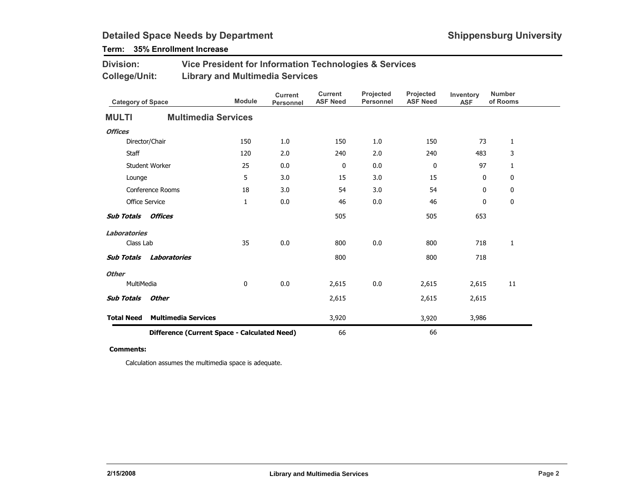### Term: 35% Enrollment Increase

| <b>Division:</b> | Vice President for Information Technologies & Services |
|------------------|--------------------------------------------------------|
| College/Unit:    | <b>Library and Multimedia Services</b>                 |

|                                              | <b>Category of Space</b>   |              | <b>Current</b><br>Personnel | <b>Current</b><br><b>ASF Need</b> | Projected<br><b>Personnel</b> | Projected<br><b>ASF Need</b> | Inventory<br><b>ASF</b> | <b>Number</b><br>of Rooms |
|----------------------------------------------|----------------------------|--------------|-----------------------------|-----------------------------------|-------------------------------|------------------------------|-------------------------|---------------------------|
| <b>MULTI</b>                                 | <b>Multimedia Services</b> |              |                             |                                   |                               |                              |                         |                           |
| <b>Offices</b>                               |                            |              |                             |                                   |                               |                              |                         |                           |
|                                              | Director/Chair             | 150          | 1.0                         | 150                               | 1.0                           | 150                          | 73                      | $\mathbf{1}$              |
| Staff                                        |                            | 120          | 2.0                         | 240                               | 2.0                           | 240                          | 483                     | 3                         |
|                                              | Student Worker             | 25           | 0.0                         | 0                                 | 0.0                           | 0                            | 97                      | $\mathbf{1}$              |
| Lounge                                       |                            | 5            | 3.0                         | 15                                | 3.0                           | 15                           | 0                       | 0                         |
|                                              | Conference Rooms           | 18           | 3.0                         | 54                                | 3.0                           | 54                           | 0                       | 0                         |
|                                              | <b>Office Service</b>      | $\mathbf{1}$ | 0.0                         | 46                                | $0.0\,$                       | 46                           | $\bf{0}$                | 0                         |
| <b>Sub Totals</b>                            | <b>Offices</b>             |              |                             | 505                               |                               | 505                          | 653                     |                           |
| <b>Laboratories</b>                          |                            |              |                             |                                   |                               |                              |                         |                           |
| Class Lab                                    |                            | 35           | 0.0                         | 800                               | 0.0                           | 800                          | 718                     | 1                         |
| <b>Sub Totals</b>                            | <b>Laboratories</b>        |              |                             | 800                               |                               | 800                          | 718                     |                           |
| <b>Other</b>                                 |                            |              |                             |                                   |                               |                              |                         |                           |
| MultiMedia                                   |                            | 0            | 0.0                         | 2,615                             | 0.0                           | 2,615                        | 2,615                   | 11                        |
| <b>Sub Totals</b>                            | <b>Other</b>               |              |                             | 2,615                             |                               | 2,615                        | 2,615                   |                           |
| <b>Total Need</b>                            | <b>Multimedia Services</b> |              |                             | 3,920                             |                               | 3,920                        | 3,986                   |                           |
| Difference (Current Space - Calculated Need) |                            |              | 66                          |                                   | 66                            |                              |                         |                           |

#### Comments:

Calculation assumes the multimedia space is adequate.